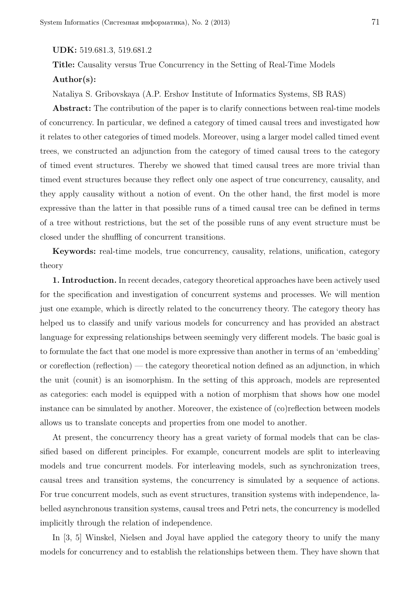## **UDK:** 519.681.3, 519.681.2

**Title:** Causality versus True Concurrency in the Setting of Real-Time Models **Author(s):**

Nataliya S. Gribovskaya (A.P. Ershov Institute of Informatics Systems, SB RAS)

**Abstract:** The contribution of the paper is to clarify connections between real-time models of concurrency. In particular, we defined a category of timed causal trees and investigated how it relates to other categories of timed models. Moreover, using a larger model called timed event trees, we constructed an adjunction from the category of timed causal trees to the category of timed event structures. Thereby we showed that timed causal trees are more trivial than timed event structures because they reflect only one aspect of true concurrency, causality, and they apply causality without a notion of event. On the other hand, the first model is more expressive than the latter in that possible runs of a timed causal tree can be defined in terms of a tree without restrictions, but the set of the possible runs of any event structure must be closed under the shuffling of concurrent transitions.

**Keywords:** real-time models, true concurrency, causality, relations, unification, category theory

**1. Introduction.** In recent decades, category theoretical approaches have been actively used for the specification and investigation of concurrent systems and processes. We will mention just one example, which is directly related to the concurrency theory. The category theory has helped us to classify and unify various models for concurrency and has provided an abstract language for expressing relationships between seemingly very different models. The basic goal is to formulate the fact that one model is more expressive than another in terms of an 'embedding' or coreflection (reflection) — the category theoretical notion defined as an adjunction, in which the unit (counit) is an isomorphism. In the setting of this approach, models are represented as categories: each model is equipped with a notion of morphism that shows how one model instance can be simulated by another. Moreover, the existence of (co)reflection between models allows us to translate concepts and properties from one model to another.

At present, the concurrency theory has a great variety of formal models that can be classified based on different principles. For example, concurrent models are split to interleaving models and true concurrent models. For interleaving models, such as synchronization trees, causal trees and transition systems, the concurrency is simulated by a sequence of actions. For true concurrent models, such as event structures, transition systems with independence, labelled asynchronous transition systems, causal trees and Petri nets, the concurrency is modelled implicitly through the relation of independence.

In [3, 5] Winskel, Nielsen and Joyal have applied the category theory to unify the many models for concurrency and to establish the relationships between them. They have shown that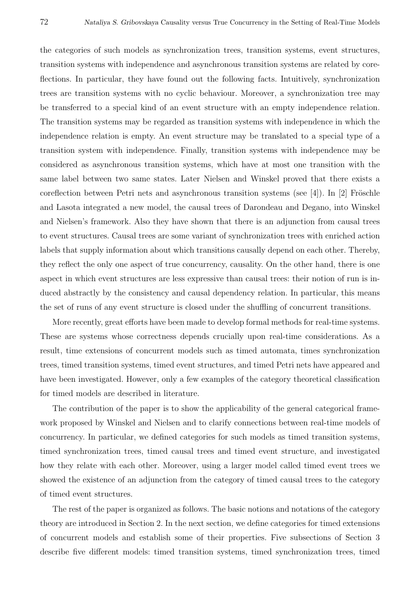the categories of such models as synchronization trees, transition systems, event structures, transition systems with independence and asynchronous transition systems are related by coreflections. In particular, they have found out the following facts. Intuitively, synchronization trees are transition systems with no cyclic behaviour. Moreover, a synchronization tree may be transferred to a special kind of an event structure with an empty independence relation. The transition systems may be regarded as transition systems with independence in which the independence relation is empty. An event structure may be translated to a special type of a transition system with independence. Finally, transition systems with independence may be considered as asynchronous transition systems, which have at most one transition with the same label between two same states. Later Nielsen and Winskel proved that there exists a coreflection between Petri nets and asynchronous transition systems (see [4]). In [2] Fröschle and Lasota integrated a new model, the causal trees of Darondeau and Degano, into Winskel and Nielsen's framework. Also they have shown that there is an adjunction from causal trees to event structures. Causal trees are some variant of synchronization trees with enriched action labels that supply information about which transitions causally depend on each other. Thereby, they reflect the only one aspect of true concurrency, causality. On the other hand, there is one aspect in which event structures are less expressive than causal trees: their notion of run is induced abstractly by the consistency and causal dependency relation. In particular, this means the set of runs of any event structure is closed under the shuffling of concurrent transitions.

More recently, great efforts have been made to develop formal methods for real-time systems. These are systems whose correctness depends crucially upon real-time considerations. As a result, time extensions of concurrent models such as timed automata, times synchronization trees, timed transition systems, timed event structures, and timed Petri nets have appeared and have been investigated. However, only a few examples of the category theoretical classification for timed models are described in literature.

The contribution of the paper is to show the applicability of the general categorical framework proposed by Winskel and Nielsen and to clarify connections between real-time models of concurrency. In particular, we defined categories for such models as timed transition systems, timed synchronization trees, timed causal trees and timed event structure, and investigated how they relate with each other. Moreover, using a larger model called timed event trees we showed the existence of an adjunction from the category of timed causal trees to the category of timed event structures.

The rest of the paper is organized as follows. The basic notions and notations of the category theory are introduced in Section 2. In the next section, we define categories for timed extensions of concurrent models and establish some of their properties. Five subsections of Section 3 describe five different models: timed transition systems, timed synchronization trees, timed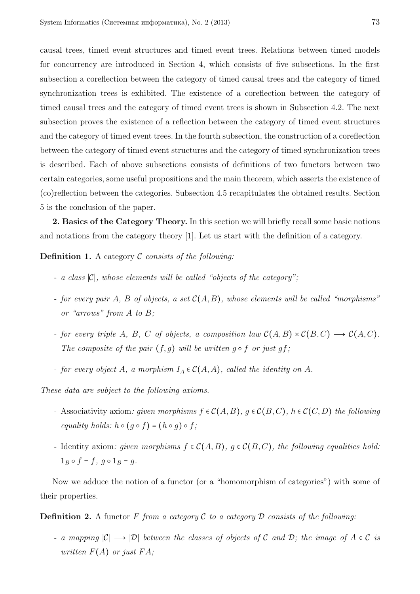causal trees, timed event structures and timed event trees. Relations between timed models for concurrency are introduced in Section 4, which consists of five subsections. In the first subsection a coreflection between the category of timed causal trees and the category of timed synchronization trees is exhibited. The existence of a coreflection between the category of timed causal trees and the category of timed event trees is shown in Subsection 4.2. The next subsection proves the existence of a reflection between the category of timed event structures and the category of timed event trees. In the fourth subsection, the construction of a coreflection between the category of timed event structures and the category of timed synchronization trees is described. Each of above subsections consists of definitions of two functors between two certain categories, some useful propositions and the main theorem, which asserts the existence of (co)reflection between the categories. Subsection 4.5 recapitulates the obtained results. Section 5 is the conclusion of the paper.

**2. Basics of the Category Theory.** In this section we will briefly recall some basic notions and notations from the category theory [1]. Let us start with the definition of a category.

**Definition 1.** A category C *consists of the following:*

- *- a class* ∣C∣*, whose elements will be called "objects of the category";*
- *- for every pair A, B of objects, a set* C(*A, B*)*, whose elements will be called "morphisms" or "arrows" from A to B;*
- *- for every triple A*, *B*, *C of objects, a composition law*  $C(A, B) \times C(B, C) \longrightarrow C(A, C)$ *. The composite of the pair*  $(f, g)$  *will be written*  $g \circ f$  *or just*  $gf$ ;
- *- for every object A, a morphism*  $I_A \in C(A, A)$ *, called the identity on A.*

*These data are subject to the following axioms.*

- *a* Associativity axiom: *given morphisms*  $f ∈ C(A, B)$ *,*  $g ∈ C(B, C)$ *,*  $h ∈ C(C, D)$  *the following equality holds:*  $h \circ (g \circ f) = (h \circ g) \circ f$ ;
- *-* Identity axiom: given morphisms  $f \in C(A, B)$ ,  $g \in C(B, C)$ , the following equalities hold:  $1_B \circ f = f, g \circ 1_B = g.$

Now we adduce the notion of a functor (or a "homomorphism of categories") with some of their properties.

**Definition 2.** A functor  $F$  *from a category*  $\mathcal C$  *to a category*  $\mathcal D$  *consists of the following:* 

*a mapping*  $|C|$  →  $|D|$  *between the classes of objects of* C *and* D; *the image of*  $A ∈ C$  *is written*  $F(A)$  *or just*  $FA$ *;*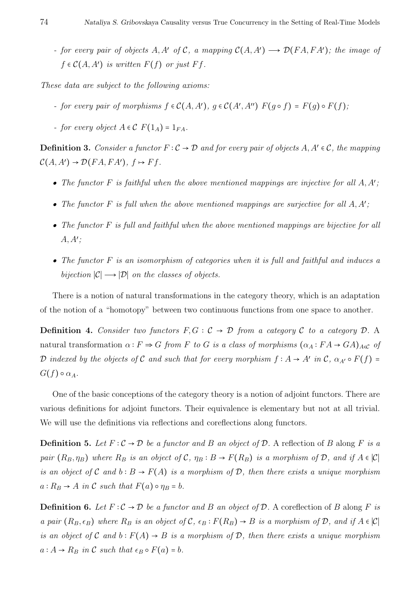*- for every pair of objects*  $A, A'$  *of*  $C$ *, a mapping*  $C(A, A') \rightarrow \mathcal{D}(FA, FA')$ *; the image of*  $f \in \mathcal{C}(A, A')$  *is written*  $F(f)$  *or just*  $Ff$ *.* 

*These data are subject to the following axioms:*

- *- for every pair of morphisms*  $f \in C(A, A')$ *,*  $g \in C(A', A'')$   $F(g \circ f) = F(g) \circ F(f)$ ;
- *- for every object*  $A \in \mathcal{C}$   $F(1_A) = 1_{FA}$ *.*

**Definition 3.** *Consider a functor*  $F: \mathcal{C} \to \mathcal{D}$  *and for every pair of objects*  $A, A' \in \mathcal{C}$ *, the mapping*  $\mathcal{C}(A, A') \rightarrow \mathcal{D}(FA, FA'), f \mapsto Ff.$ 

- *• The functor F is faithful when the above mentioned mappings are injective for all A, A*′ *;*
- *• The functor F is full when the above mentioned mappings are surjective for all A, A*′ *;*
- *• The functor F is full and faithful when the above mentioned mappings are bijective for all A, A*′ *;*
- *• The functor F is an isomorphism of categories when it is full and faithful and induces a bijection*  $|C| \rightarrow |D|$  *on the classes of objects.*

There is a notion of natural transformations in the category theory, which is an adaptation of the notion of a "homotopy" between two continuous functions from one space to another.

**Definition 4.** *Consider two functors*  $F, G : C \rightarrow D$  *from a category* C *to a category* D. A natural transformation  $\alpha : F \Rightarrow G$  *from F to G is a class of morphisms*  $(\alpha_A : F A \rightarrow GA)_{A \in \mathcal{C}}$  *of* D *indexed by the objects of* C *and such that for every morphism*  $f : A \rightarrow A'$  *in*  $C, \alpha_{A'} \circ F(f) =$  $G(f) \circ \alpha_A$ .

One of the basic conceptions of the category theory is a notion of adjoint functors. There are various definitions for adjoint functors. Their equivalence is elementary but not at all trivial. We will use the definitions via reflections and coreflections along functors.

**Definition 5.** Let  $F: \mathcal{C} \to \mathcal{D}$  be a functor and *B* an object of  $\mathcal{D}$ . A reflection of *B* along *F* is a *pair*  $(R_B, \eta_B)$  *where*  $R_B$  *is an object of*  $C$ *,*  $\eta_B : B \to F(R_B)$  *is a morphism of*  $D$ *, and if*  $A \in |C|$ *is an object of* C *and*  $b : B \to F(A)$  *is a morphism of* D, then there exists a unique morphism  $a: R_B \to A$  *in* C *such that*  $F(a) \circ \eta_B = b$ *.* 

**Definition 6.** *Let*  $F: \mathcal{C} \to \mathcal{D}$  *be a functor and B an object of*  $\mathcal{D}$ . A coreflection of *B* along *F is* a pair  $(R_B, \epsilon_B)$  where  $R_B$  is an object of  $\mathcal{C}, \epsilon_B : F(R_B) \to B$  is a morphism of  $\mathcal{D},$  and if  $A \in |\mathcal{C}|$ *is an object of* C *and*  $b: F(A) \rightarrow B$  *is a morphism of* D, then there exists a unique morphism  $a: A \rightarrow R_B$  *in* C *such that*  $\epsilon_B \circ F(a) = b$ *.*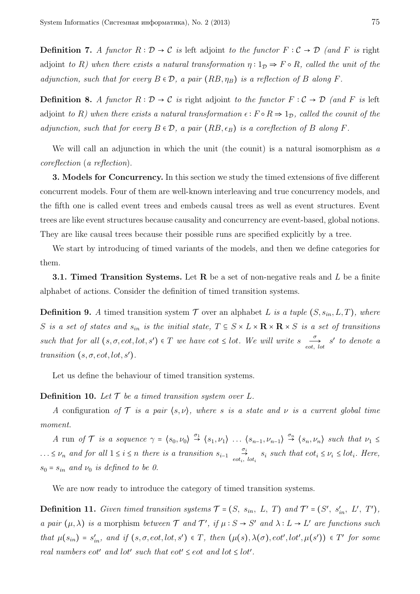**Definition 7.** *A functor*  $R : \mathcal{D} \to \mathcal{C}$  *is* left adjoint *to the functor*  $F : \mathcal{C} \to \mathcal{D}$  *(and*  $F$  *is* right adjoint *to R)* when there exists a natural transformation  $\eta: 1_{\mathcal{D}} \Rightarrow F \circ R$ *, called the unit of the adjunction, such that for every*  $B \in \mathcal{D}$ *, a pair*  $(RB, \eta_B)$  *is a reflection of B along F*.

**Definition 8.** *A functor*  $R : \mathcal{D} \to \mathcal{C}$  *is* right adjoint *to the functor*  $F : \mathcal{C} \to \mathcal{D}$  *(and*  $F$  *is* left adjoint *to R)* when there exists a natural transformation  $\epsilon$  ∶  $F \circ R \Rightarrow 1_D$ *, called the counit of the adjunction, such that for every*  $B \in \mathcal{D}$ , a pair  $(RB, \epsilon_B)$  *is a coreflection of*  $B$  *along*  $F$ *.* 

We will call an adjunction in which the unit (the counit) is a natural isomorphism as *a coreflection* (*a reflection*).

**3. Models for Concurrency.** In this section we study the timed extensions of five different concurrent models. Four of them are well-known interleaving and true concurrency models, and the fifth one is called event trees and embeds causal trees as well as event structures. Event trees are like event structures because causality and concurrency are event-based, global notions. They are like causal trees because their possible runs are specified explicitly by a tree.

We start by introducing of timed variants of the models, and then we define categories for them.

**3.1. Timed Transition Systems.** Let **R** be a set of non-negative reals and *L* be a finite alphabet of actions. Consider the definition of timed transition systems.

**Definition 9.** *A* timed transition system  $\mathcal T$  over an alphabet *L is a tuple*  $(S, s_{in}, L, T)$ *, where S is a set of states and*  $s_{in}$  *is the initial state,*  $T \subseteq S \times L \times \mathbf{R} \times \mathbf{R} \times S$  *is a set of transitions such that for all*  $(s, \sigma, \cot, \cot, s') \in T$  *we have*  $\cot \leq \cot$ *. We will write*  $s \frac{\sigma}{\cot}$ .  $\frac{d}{\partial t}$  *s' to denote a transition*  $(s, \sigma, \text{eot}, \text{lot}, s')$ *.* 

Let us define the behaviour of timed transition systems.

#### **Definition 10.** Let  $\mathcal{T}$  be a timed transition system over  $L$ .

*A* configuration of  $\mathcal T$  *is a pair*  $\langle s, \nu \rangle$ *, where s is a state and*  $\nu$  *is a current global time moment.*

A run of  $\mathcal T$  is a sequence  $\gamma = \langle s_0, \nu_0 \rangle \stackrel{\sigma_1}{\rightarrow} \langle s_1, \nu_1 \rangle \ldots \langle s_{n-1}, \nu_{n-1} \rangle \stackrel{\sigma_n}{\rightarrow} \langle s_n, \nu_n \rangle$  such that  $\nu_1 \leq$ *...* ≤  $\nu_n$  *and for all*  $1 \leq i \leq n$  *there is a transition*  $s_{i-1} \underset{eot_i}{\rightarrow}$  $\stackrel{\leftrightarrow}{\rightarrow}$  *s<sub>i</sub>* such that  $\epsilon \circ t_i \leq \nu_i \leq l \circ t_i$ . Here,  $s_0 = s_{in}$  *and*  $\nu_0$  *is defined to be 0.* 

We are now ready to introduce the category of timed transition systems.

**Definition 11.** *Given timed transition systems*  $\mathcal{T} = (S, s_{in}, L, T)$  *and*  $\mathcal{T}' = (S', s'_{in}, L', T')$ *, a pair*  $(\mu, \lambda)$  *is a* morphism *between*  $\mathcal T$  *and*  $\mathcal T'$ *, if*  $\mu : S \to S'$  *and*  $\lambda : L \to L'$  *are functions such* that  $\mu(s_{in}) = s'_{in}$ , and if  $(s, \sigma, eot, lot, s') \in T$ , then  $(\mu(s), \lambda(\sigma), eot', lot', \mu(s')) \in T'$  for some *real numbers eot' and lot' such that*  $eot' \leq eot$  *<i>and lot*  $\leq$  *lot'*.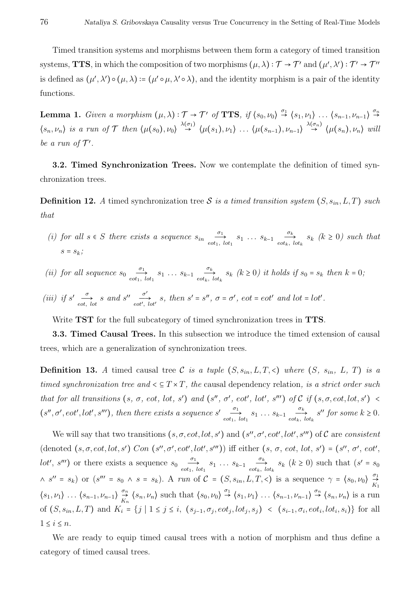Timed transition systems and morphisms between them form a category of timed transition systems, **TTS**, in which the composition of two morphisms  $(\mu, \lambda) : \mathcal{T} \to \mathcal{T}'$  and  $(\mu', \lambda') : \mathcal{T}' \to \mathcal{T}''$ is defined as  $(\mu', \lambda') \circ (\mu, \lambda) \coloneqq (\mu' \circ \mu, \lambda' \circ \lambda)$ , and the identity morphism is a pair of the identity functions.

**Lemma 1.** *Given a morphism*  $(\mu, \lambda): \mathcal{T} \to \mathcal{T}'$  *of* **TTS**, if  $\langle s_0, \nu_0 \rangle \stackrel{\sigma_1}{\to} \langle s_1, \nu_1 \rangle$  ...  $\langle s_{n-1}, \nu_{n-1} \rangle \stackrel{\sigma_n}{\to}$  $\rightarrow$  $\langle s_n, \nu_n \rangle$  is a run of T then  $\langle \mu(s_0), \nu_0 \rangle \stackrel{\lambda(\sigma_1)}{\rightarrow} \langle \mu(s_1), \nu_1 \rangle \dots \langle \mu(s_{n-1}), \nu_{n-1} \rangle \stackrel{\lambda(\sigma_n)}{\rightarrow} \langle \mu(s_n), \nu_n \rangle$  will be a run of  $\mathcal{T}'$ .

**3.2. Timed Synchronization Trees.** Now we contemplate the definition of timed synchronization trees.

**Definition 12.** *A* timed synchronization tree S is a timed transition system  $(S, s_{in}, L, T)$  such *that*

- *(i) for all*  $s \in S$  *there exists a sequence*  $s_{in}$   $\frac{\sigma_1}{\epsilon_0 t_1}$  $\overrightarrow{c_1}$   $s_1 \ldots s_{k-1}$   $\overrightarrow{c_k}$ <br>*eot<sub>k</sub>*, *lot*<sub>1</sub>  $\underset{e \circ t_k, \, l \circ t_k}{\longrightarrow}$   $s_k$   $(k \ge 0)$  such that  $s = s_k$ ;
- *(ii) for all sequence*  $s_0 \quad -\frac{\sigma_1}{\sigma_2}$  $\overrightarrow{c_1}$  *s*<sub>1</sub> *... s*<sub>*k*-1</sub>  $\overrightarrow{c_k}$  *eot<sub>k</sub>*,  $\sum_{i=1}^{N_k} s_k$  ( $k \ge 0$ ) it holds if  $s_0 = s_k$  then  $k = 0$ ;
- *(iii) if*  $s' =$ <sup> $\frac{\sigma}{\sigma}$ </sup>  $\frac{\sigma}{\sigma}$ *s* and *s*<sup>*n*</sup>  $\frac{\sigma'}{\sigma'}$ <br>*eot*',  $\overrightarrow{e}$  *eot'*, *lot' s*, *then*  $s' = s''$ ,  $\sigma = \sigma'$ ,  $eot = eot'$  and  $lot = lot'$ .

Write **TST** for the full subcategory of timed synchronization trees in **TTS**.

**3.3. Timed Causal Trees.** In this subsection we introduce the timed extension of causal trees, which are a generalization of synchronization trees.

**Definition 13.** *A* timed causal tree C is a tuple  $(S, s_i, L, T, \leq)$  where  $(S, s_i, L, T)$  is a *timed synchronization tree and*  $\leq T \times T$ *, the causal dependency relation, is a strict order such* that for all transitions  $(s, \sigma, \text{eot}, \text{lot}, s')$  and  $(s'', \sigma', \text{eot}', \text{lot}', s'')$  of  $C$  if  $(s, \sigma, \text{eot}, \text{lot}, s')$  $(s'', \sigma', \text{eot}', \text{lot}', s''')$ , then there exists a sequence  $s'$  $\overrightarrow{c_1}$  *s*<sub>1</sub> *... s*<sub>*k*-1</sub>  $\overrightarrow{c_k}$  *eot<sub>k</sub>*,  $\underset{e \circ t_k, \, l \circ t_k}{\longrightarrow}$  *s*" *for some*  $k \geq 0$ *.* 

We will say that two transitions  $(s, \sigma, \cot, \cot, s')$  and  $(s'', \sigma', \cot', \cot', s''')$  of C are *consistent* (denoted  $(s, \sigma, \text{eot}, \text{lot}, s')$  Con  $(s'', \sigma', \text{eot}', \text{lot}', s''')$ ) iff either  $(s, \sigma, \text{eot}, \text{lot}, s') = (s'', \sigma', \text{eot}', s''')$ *lot'*, *s'''*) or there exists a sequence  $s_0 \frac{\sigma_1}{\epsilon_{\text{ot}_1}}$  $\overrightarrow{c_1}$  *s*<sub>1</sub> *... s*<sub>*k*-1</sub>  $\overrightarrow{c_k}$  *eot<sub>k</sub>*,  $\frac{\partial k}{\partial s}$   $s_k$  ( $k \ge 0$ ) such that ( $s' = s_0$  $\wedge$   $s'' = s_k$ ) or  $(s'' = s_0 \wedge s = s_k)$ . A *run* of  $C = (S, s_{in}, L, T, \leq)$  is a sequence  $\gamma = (s_0, \nu_0) \frac{\sigma_1}{S}$  $\overrightarrow{K_1}$  $\langle s_1, v_1 \rangle$   $\ldots$   $\langle s_{n-1}, v_{n-1} \rangle \overset{\sigma_n}{\underset{K_n}{\rightarrow}}$  $\mathcal{L}_{K_n}^{\sigma_n}$   $\langle s_n, \nu_n \rangle$  such that  $\langle s_0, \nu_0 \rangle \stackrel{\sigma_1}{\rightarrow} \langle s_1, \nu_1 \rangle \dots \langle s_{n-1}, \nu_{n-1} \rangle \stackrel{\sigma_n}{\rightarrow} \langle s_n, \nu_n \rangle$  is a run of  $(S, s_{in}, L, T)$  and  $K_i = \{j | 1 \le j \le i, (s_{j-1}, \sigma_j, eot_j, lot_j, s_j) \le (s_{i-1}, \sigma_i, eot_i, lot_i, s_i)\}\$  for all  $1 \leq i \leq n$ .

We are ready to equip timed causal trees with a notion of morphism and thus define a category of timed causal trees.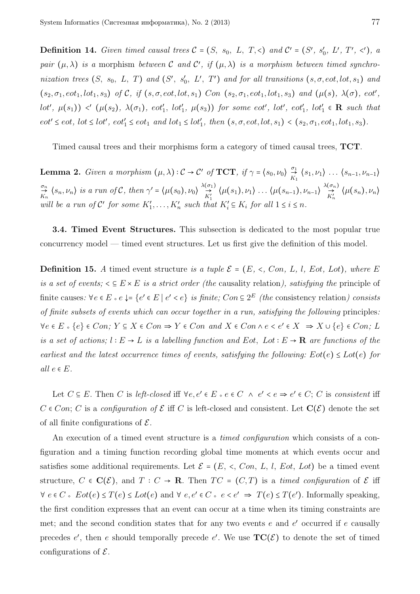**Definition 14.** *Given timed causal trees*  $C = (S, s_0, L, T, \leq)$  *and*  $C' = (S', s'_0, L', T', \leq')$ , *a pair*  $(\mu, \lambda)$  *is a* morphism *between* C *and* C', *if*  $(\mu, \lambda)$  *is a morphism between timed synchronization trees*  $(S, s_0, L, T)$  *and*  $(S', s'_0, L', T')$  *and for all transitions*  $(s, \sigma, \text{cot}, \text{lot}, s_1)$  *and*  $(s_2, \sigma_1, \text{cot}_1, \text{lot}_1, s_3)$  of C, if  $(s, \sigma, \text{cot}, \text{lot}, s_1)$  Con  $(s_2, \sigma_1, \text{cot}_1, \text{lot}_1, s_3)$  and  $(\mu(s), \lambda(\sigma), \text{ect}',$  $lot', \mu(s_1)) \prec' (\mu(s_2), \lambda(\sigma_1), \, eot'_1, \, lot'_1, \, \mu(s_3))$  for some eot',  $lot', \, eot'_1, \, lot'_1 \in \mathbb{R}$  such that  $eot' \leq eot$ ,  $lot \leq lot'$ ,  $eot'_1 \leq eot_1$  and  $lot_1 \leq lot'_1$ , then  $(s, \sigma, eot, lot, s_1) < (s_2, \sigma_1, eot_1, lot_1, s_3)$ .

Timed causal trees and their morphisms form a category of timed causal trees, **TCT**.

**Lemma 2.** *Given a morphism*  $(\mu, \lambda): \mathcal{C} \to \mathcal{C}'$  *of* **TCT**, if  $\gamma = \langle s_0, \nu_0 \rangle \frac{\sigma_1}{K}$  $\frac{\partial}{\partial X_1}$   $\langle s_1, v_1 \rangle$   $\dots$   $\langle s_{n-1}, v_{n-1} \rangle$ *σn* $\Rightarrow_{K_n}^{\sigma_n}$   $\langle s_n, \nu_n \rangle$  *is a run of* C, then  $\gamma' = \langle \mu(s_0), \nu_0 \rangle \overset{\lambda(\sigma_1)}{\underset{K'_1}{\rightarrow}}$  $\overrightarrow{r}_{K_1'}^{(\sigma_1)}$   $\langle \mu(s_1), \nu_1 \rangle$   $\dots$   $\langle \mu(s_{n-1}), \nu_{n-1} \rangle \stackrel{\lambda(\sigma_n)}{\rightarrow}$  $\overrightarrow{K_n}$   $\langle \mu(s_n), \nu_n \rangle$ *will be a run of*  $C'$  *for some*  $K'_1, \ldots, K'_n$  *such that*  $K'_i \subseteq K_i$  *for all*  $1 \le i \le n$ *.* 

**3.4. Timed Event Structures.** This subsection is dedicated to the most popular true concurrency model — timed event structures. Let us first give the definition of this model.

**Definition 15.** *A* timed event structure *is a tuple*  $\mathcal{E} = (E, \langle$ ,  $Con, L, l, Eot, Lot)$ *, where E is a set of events;*  $\leq E \times E$  *is a strict order (the causality relation), satisfying the principle of* finite causes:  $\forall e \in E \triangle e e \downarrow = \{e' \in E \mid e' < e\}$  *is finite;*  $Con \subseteq 2^E$  *(the* consistency relation*) consists of finite subsets of events which can occur together in a run, satisfying the following* principles*:*  $\forall e \in E \cdot \{e\} \in Con; Y \subseteq X \in Con \Rightarrow Y \in Con \text{ and } X \in Con \land e \le e' \in X \Rightarrow X \cup \{e\} \in Con; L$ *is a set of actions;*  $l$  ∶  $E \rightarrow L$  *is a labelling function and*  $Eot$ *, Lot* ∶  $E \rightarrow \mathbf{R}$  *are functions of the earliest and the latest occurrence times of events, satisfying the following:*  $Eot(e) \leq Lot(e)$  *for*  $all \, e \in E$ .

Let  $C \subseteq E$ . Then  $C$  is *left-closed* iff  $\forall e, e' \in E \land e \in C \land e' \le e \Rightarrow e' \in C$ ;  $C$  is *consistent* iff  $C \in Con$ ; *C* is a *configuration of*  $\mathcal{E}$  iff *C* is left-closed and consistent. Let  $\mathbf{C}(\mathcal{E})$  denote the set of all finite configurations of  $\mathcal{E}$ .

An execution of a timed event structure is a *timed configuration* which consists of a configuration and a timing function recording global time moments at which events occur and satisfies some additional requirements. Let  $\mathcal{E} = (E, \le, Com, L, l, Eot, Lot)$  be a timed event structure,  $C \in \mathbf{C}(\mathcal{E})$ , and  $T : C \to \mathbf{R}$ . Then  $TC = (C, T)$  is a *timed configuration* of  $\mathcal{E}$  iff  $\forall e \in C \triangle~ E \text{ot}(e) \leq T(e) \leq Lot(e) \text{ and } \forall e, e' \in C \triangle~ e \leq e' \implies T(e) \leq T(e')$ . Informally speaking, the first condition expresses that an event can occur at a time when its timing constraints are met; and the second condition states that for any two events *e* and *e* ′ occurred if *e* causally precedes  $e'$ , then  $e$  should temporally precede  $e'$ . We use  $TC(\mathcal{E})$  to denote the set of timed configurations of  $\mathcal{E}$ .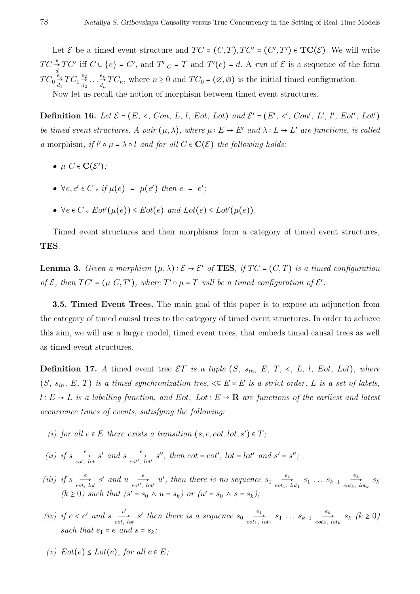Let  $\mathcal{E}$  be a timed event structure and  $TC = (C, T), TC' = (C', T') \in TC(\mathcal{E})$ . We will write  $TC \stackrel{e}{\rightarrow} TC'$  iff  $C \cup \{e\} = C'$ , and  $T'|_C = T$  and  $T'(e) = d$ . A *run* of  $\mathcal{E}$  is a sequence of the form  $TC_0 \overset{e_1}{\rightarrow}$  $\overset{e_1}{\rightarrow} TC_1 \overset{e_2}{\rightarrow}$ <br> $\overset{d_1}{d_2}$  $\begin{array}{c} e_2 \\ \rightarrow \\ d_2 \end{array}$  ...  $\begin{array}{c} e_n \\ \rightarrow \\ d_n \end{array}$  $\overset{e_n}{\to} TC_n$ , where  $n \geq 0$  and  $TC_0 = (\emptyset, \emptyset)$  is the initial timed configuration.

Now let us recall the notion of morphism between timed event structures.

**Definition 16.** Let  $\mathcal{E} = (E, \prec, Con, L, l, Eot, Lot)$  and  $\mathcal{E}' = (E', \prec', Con', L', l', Eot', Lot')$ *be timed event structures.* A pair  $(\mu, \lambda)$ , where  $\mu : E \to E'$  and  $\lambda : L \to L'$  are functions, is called *a* morphism, if  $l' \circ \mu = \lambda \circ l$  *and for all*  $C \in \mathbf{C}(\mathcal{E})$  *the following holds:* 

- $\mu$  *C*  $\in$  **C**( $\mathcal{E}'$ );
- $\forall e, e' \in C \; \text{of} \; \mu(e) = \mu(e') \; \text{then} \; e = e'$
- $\forall e \in C$  *s*  $Eot'(u(e)) \le Eot(e)$  and  $Lot(e) \le Lot'(u(e)).$

Timed event structures and their morphisms form a category of timed event structures, **TES**.

**Lemma 3.** *Given a morphism*  $(\mu, \lambda) : \mathcal{E} \to \mathcal{E}'$  *of* **TES**, *if*  $TC = (C, T)$  *is a timed configuration of*  $\mathcal{E}$ *, then*  $TC' = (\mu \ C, T')$ *, where*  $T' \circ \mu = T$  *will be a timed configuration of*  $\mathcal{E}'$ *.* 

**3.5. Timed Event Trees.** The main goal of this paper is to expose an adjunction from the category of timed causal trees to the category of timed event structures. In order to achieve this aim, we will use a larger model, timed event trees, that embeds timed causal trees as well as timed event structures.

**Definition 17.** A timed event tree  $\mathcal{ET}$  is a tuple  $(S, s_{in}, E, T, \langle L, L, I, Eot, Lot),$  where  $(S, s_{in}, E, T)$  *is a timed synchronization tree,*  $\leq E \times E$  *is a strict order, L is a set of labels, <sup>l</sup>* <sup>∶</sup> *<sup>E</sup>* <sup>→</sup> *<sup>L</sup> is a labelling function, and Eot, Lot* <sup>∶</sup> *<sup>E</sup>* <sup>→</sup> **<sup>R</sup>** *are functions of the earliest and latest occurrence times of events, satisfying the following:*

- *(i) for all*  $e \in E$  *there exists a transition*  $(s, e, eot, lot, s') \in T$ ;
- *(ii) if*  $s \stackrel{e}{\longrightarrow}$  $\underset{eot}{\longrightarrow}$  *s'* and *s*  $\underset{eot'}{\longrightarrow}$  $\underset{=}{\overset{\sim}{\to}}$  *s''*, then eot = eot', lot = lot' and s' = s'';
- *(iii) if*  $s \stackrel{e}{\longrightarrow}$  $\underset{eot}{\longrightarrow}$  *s'* and *u*  $\underset{eot'}{\longrightarrow}$  $\frac{e}{\epsilon_0 t'}$ , *u'*, *then there is no sequence*  $s_0 \frac{e_1}{\epsilon_0 t_1}$  $\overrightarrow{e_1}$   $s_1 \dots s_{k-1}$   $\overrightarrow{e_k}$ <br>*eot<sub>k</sub>*, *lot*<sub>1</sub>  $\overrightarrow{c_k}$   $s_k$  $(k \ge 0)$  such that  $(s' = s_0 \land u = s_k)$  or  $(u' = s_0 \land s = s_k)$ ;
- (*iv*) *if*  $e < e'$  *and*  $s \frac{e'}{e\sigma t}$ .  $\frac{e'}{e^{\alpha t}}$ , *s'* then there is a sequence  $s_0$   $\frac{e_1}{e^{\alpha t_1}}$  $\overrightarrow{e_1}$   $s_1 \dots s_{k-1}$   $\overrightarrow{e_k}$ <br>*eot<sub>k</sub>*, *lot*<sub>1</sub>  $\underset{e \circ t_k, \, l \circ t_k}{\longrightarrow}$   $s_k \, (k \geq 0)$ *such that*  $e_1 = e$  *and*  $s = s_k$ ;
- *(v)*  $Eot(e) ≤ Lot(e)$ *, for all*  $e ∈ E$ *;*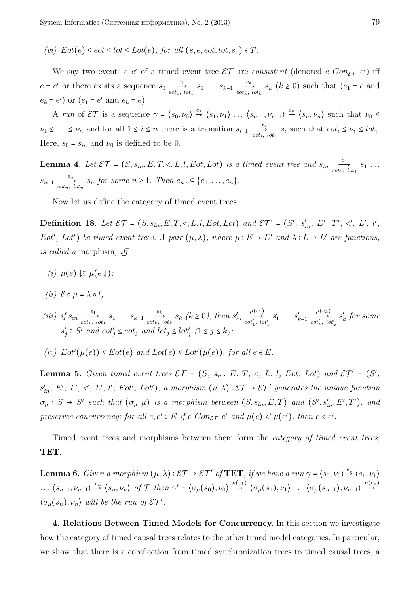*(vi)*  $Eot(e) ≤ *cot* ≤ *lot* ≤ *Lot*(*e*)$ *, for all*  $(s, e, *cot*, *lot*, *s*<sub>1</sub>) ∈ *T*.$ 

We say two events  $e, e'$  of a timed event tree  $\mathcal{ET}$  are *consistent* (denoted  $e \text{ } Con_{\mathcal{ET}} \text{ } e'$ ) iff  $e = e'$  or there exists a sequence  $s_0 \frac{e_1}{\epsilon_0 t_1}$  $\overrightarrow{e_1}$   $s_1 \dots s_{k-1}$   $\overrightarrow{e_k}$ <br>*eot<sub>k</sub>*, *lot*<sub>1</sub>  $\sum_{i=1}^{n} s_k$  ( $k \ge 0$ ) such that ( $e_1 = e$  and  $e_k = e'$  or  $(e_1 = e'$  and  $e_k = e)$ .

A run of  $\mathcal{ET}$  is a sequence  $\gamma = \langle s_0, \nu_0 \rangle \stackrel{e_1}{\rightarrow} \langle s_1, \nu_1 \rangle \dots \langle s_{n-1}, \nu_{n-1} \rangle \stackrel{e_n}{\rightarrow} \langle s_n, \nu_n \rangle$  such that  $\nu_0 \leq$  $\nu_1 \leq \ldots \leq \nu_n$  and for all  $1 \leq i \leq n$  there is a transition  $s_{i-1} \underset{eot_i}{\rightarrow}$  $\Rightarrow$   $\Rightarrow$   $s_i$  such that  $e \circ t_i \leq \nu_i \leq l \circ t_i$ . Here,  $s_0 = s_{in}$  and  $\nu_0$  is defined to be 0.

**Lemma 4.** Let  $\mathcal{ET} = (S, s_{in}, E, T, \langle, L, l, Eot, Lot)$  *is a timed event tree and*  $s_{in}$   $\frac{e_1}{e_1e_2}$  $\overrightarrow{c_1}$ ,  $\overrightarrow{b_1}$   $\overrightarrow{s_1}$   $\cdots$  $s_{n-1}$ <sup>e<sub>n</sub></sup></sup>  $\sum_{i=1}^{n} s_i$  *s<sub>n</sub> for some*  $n \geq 1$ *. Then*  $e_n \downarrow \subseteq \{e_1, \ldots, e_n\}$ .

Now let us define the category of timed event trees.

**Definition 18.** Let  $\mathcal{ET} = (S, s_{in}, E, T, \langle, L, l, Eot, Lot) \text{ and } \mathcal{ET}' = (S', s'_{in}, E', T', \langle', L', l', L', T', \rangle)$ *Eot'*, *Lot'*) *be timed event trees.* A pair  $(\mu, \lambda)$ , where  $\mu : E \to E'$  and  $\lambda : L \to L'$  are functions, *is called a* morphism*, iff*

- $(i)$   $\mu(e)$  ↓⊆  $\mu(e \downarrow)$ ;
- $(iii)$   $l' \circ \mu = \lambda \circ l;$
- *(iii) if*  $s_{in}$   $\frac{e_1}{e}$  $\overrightarrow{e_1}$  *s*<sub>1</sub> *...*  $s_{k-1}$  *e<sub>k</sub> eot<sub>k</sub>*</sub>  $\underset{i \text{etc.}}{\longrightarrow}$   $s_k$   $(k \ge 0)$ , then  $s'_{in}$  $\mu(e_1)$  $\overrightarrow{cot'_1, lot'_1}$  $s'_1 \ldots s'_{k-1}$  $\mu(e_k)$  $\overrightarrow{cot'_{k}}, \overrightarrow{lot'_{k}}$ *s* ′ *k for some*  $s'_{j} \in S'$  and  $eot'_{j} \leq eot_{j}$  and  $lot_{j} \leq lot'_{j}$   $(1 \leq j \leq k)$ ;
- $f(v)$   $Eot'( \mu(e)) \leq Eot(e)$  and  $Lot(e) \leq Lot'(\mu(e))$ , for all  $e \in E$ .

**Lemma 5.** Given timed event trees  $\mathcal{ET} = (S, s_{in}, E, T, \langle, L, l, Eot, Lot)$  and  $\mathcal{ET}' = (S',$  $s'_{in}$ , E', T', <', L', l', Eot', Lot'), a morphism  $(\mu, \lambda) : \mathcal{ET} \to \mathcal{ET}'$  generates the unique function  $\sigma_{\mu}: S \to S'$  such that  $(\sigma_{\mu}, \mu)$  is a morphism between  $(S, s_{in}, E, T)$  and  $(S', s'_{in}, E', T')$ , and *preserves concurrency: for all*  $e, e' \in E$  *if*  $e$   $Con_{\mathcal{ET}} e'$  and  $\mu(e) \leq' \mu(e')$ , then  $e \leq e'$ .

Timed event trees and morphisms between them form the *category of timed event trees*, **TET**.

**Lemma 6.** *Given a morphism*  $(\mu, \lambda) : \mathcal{ET} \to \mathcal{ET}'$  *of* **TET**, *if we have a run*  $\gamma = \langle s_0, \nu_0 \rangle \stackrel{e_1}{\to} \langle s_1, \nu_1 \rangle$  $\ldots$   $\langle s_{n-1}, \nu_{n-1} \rangle \stackrel{e_n}{\rightarrow} \langle s_n, \nu_n \rangle$  of T then  $\gamma' = \langle \sigma_\mu(s_0), \nu_0 \rangle \stackrel{\mu(e_1)}{\rightarrow} \langle \sigma_\mu(s_1), \nu_1 \rangle \ldots \langle \sigma_\mu(s_{n-1}), \nu_{n-1} \rangle \stackrel{\mu(e_n)}{\rightarrow}$  $\rightarrow$  $\langle \sigma_\mu(s_n), \nu_n \rangle$  will be the run of  $\mathcal{E} \mathcal{T}'$ .

**4. Relations Between Timed Models for Concurrency.** In this section we investigate how the category of timed causal trees relates to the other timed model categories. In particular, we show that there is a coreflection from timed synchronization trees to timed causal trees, a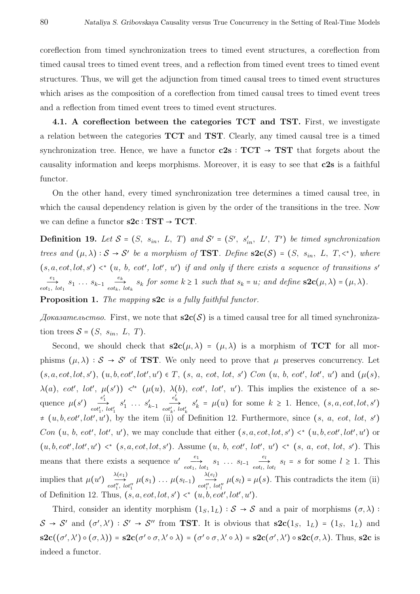coreflection from timed synchronization trees to timed event structures, a coreflection from timed causal trees to timed event trees, and a reflection from timed event trees to timed event structures. Thus, we will get the adjunction from timed causal trees to timed event structures which arises as the composition of a coreflection from timed causal trees to timed event trees and a reflection from timed event trees to timed event structures.

**4.1. A coreflection between the categories TCT and TST.** First, we investigate a relation between the categories **TCT** and **TST**. Clearly, any timed causal tree is a timed synchronization tree. Hence, we have a functor  $c2s : TCT \rightarrow TST$  that forgets about the causality information and keeps morphisms. Moreover, it is easy to see that **c2s** is a faithful functor.

On the other hand, every timed synchronization tree determines a timed causal tree, in which the causal dependency relation is given by the order of the transitions in the tree. Now we can define a functor **s2c** <sup>∶</sup> **TST** <sup>→</sup> **TCT**.

**Definition 19.** Let  $S = (S, s_{in}, L, T)$  and  $S' = (S', s'_{in}, L', T')$  be timed synchronization *trees and*  $(\mu, \lambda) : S \to S'$  *be a morphism of* **TST***. Define*  $s2c(S) = (S, s_{in}, L, T, \langle \cdot \rangle)$ *, where*  $(s, a, \text{cot}, \text{lot}, s') \leq^* (u, b, \text{cot}', \text{lot}', u')$  if and only if there exists a sequence of transitions  $s'$ *e*1  $\overrightarrow{e_1}$   $s_1 \ldots s_{k-1}$   $\overrightarrow{e_k}$ <br>*eot<sub>i</sub>*, *lot*<sub>1</sub>  $\underset{e \text{ot}_k, \text{lot}_k}{\longrightarrow}$  *s<sub>k</sub>* for some  $k \ge 1$  *such that*  $s_k = u$ *; and define*  $\mathbf{S2c}(\mu, \lambda) = (\mu, \lambda)$ *.* **Proposition 1.** *The mapping* **s2c** *is a fully faithful functor.*

 $\Delta x$  *Доказательство*. First, we note that **s2c**(S) is a timed causal tree for all timed synchronization trees  $S = (S, s_{in}, L, T)$ .

Second, we should check that  $s2c(\mu, \lambda) = (\mu, \lambda)$  is a morphism of **TCT** for all morphisms  $(\mu, \lambda) : S \to S'$  of **TST**. We only need to prove that  $\mu$  preserves concurrency. Let  $(s, a, eot, lot, s')$ ,  $(u, b, eot', lot', u') \in T$ ,  $(s, a, eot, lot, s')$   $Con (u, b, eot', lot', u')$  and  $(\mu(s),$ *λ*(*a*), *eot'*, *lot'*, *μ*(*s'*)) <'\* (*μ*(*u*), *λ*(*b*), *eot'*, *lot'*, *u'*). This implies the existence of a sequence  $\mu(s')$  $\overset{e'_1}{\longrightarrow}$ <br>*eot*<sup>'</sup><sub>1</sub>, *lot*<sup>'</sup><sub>1</sub>  $s'_1 \ldots s'_{k-1}$  $\begin{array}{c} e'_k \\ \longrightarrow \\ \text{cot}'_k, \text{ } \text{tot}'_k \end{array}$  $s'_k = \mu(u)$  for some  $k \ge 1$ . Hence,  $(s, a, eot, lot, s')$  $\neq$   $(u, b, eot', lot', u')$ , by the item (ii) of Definition 12. Furthermore, since  $(s, a, eot, lot, s')$ *Con*  $(u, b, \text{eot}', \text{lot}', u')$ , we may conclude that either  $(s, a, \text{eot}, \text{lot}, s') \prec^* (u, b, \text{eot}', \text{lot}', u')$  or  $(u, b, \text{eot}', \text{lot}', \text{ut}') \leq^* (s, a, \text{eot}, \text{lot}, s')$ . Assume  $(u, b, \text{eot}', \text{lot}', \text{ut}') \leq^* (s, a, \text{eot}, \text{lot}, s')$ . This means that there exists a sequence  $u'$   $\frac{e_1}{e_2}$  $\overrightarrow{e_1}$   $s_1$   $\cdots$   $s_{l-1}$   $\overrightarrow{e_l}$ <br>*eot<sub>l</sub>*, *lot*<sub>1</sub>  $\frac{c_l}{\epsilon_0 t_l}$ ,  $\frac{d_l}{dt} = s$  for some  $l \geq 1$ . This implies that  $\mu(u') \stackrel{\lambda(e_1)}{\longrightarrow}$  $\overrightarrow{\lambda^{(e_1)}}_{eof_1'', \text{ } lot_1''}$   $\mu(s_1) \ldots \mu(s_{l-1}) \underbrace{\overrightarrow{\lambda^{(e_l)}}}_{eof_l'', \text{ } lc}$  $\mu(s_l) = \mu(s)$ . This contradicts the item (ii) of Definition 12. Thus,  $(s, a, eot, lot, s') \lt^* (u, b, eot', lot', u').$ 

Third, consider an identity morphism  $(1_S, 1_L) : S \rightarrow S$  and a pair of morphisms  $(\sigma, \lambda)$ :  $S \rightarrow S'$  and  $(\sigma', \lambda') : S' \rightarrow S''$  from **TST**. It is obvious that  $s2c(1_S, 1_L) = (1_S, 1_L)$  and  $s2c((\sigma', \lambda') \circ (\sigma, \lambda)) = s2c(\sigma' \circ \sigma, \lambda' \circ \lambda) = (\sigma' \circ \sigma, \lambda' \circ \lambda) = s2c(\sigma', \lambda') \circ s2c(\sigma, \lambda).$  Thus, s2c is indeed a functor.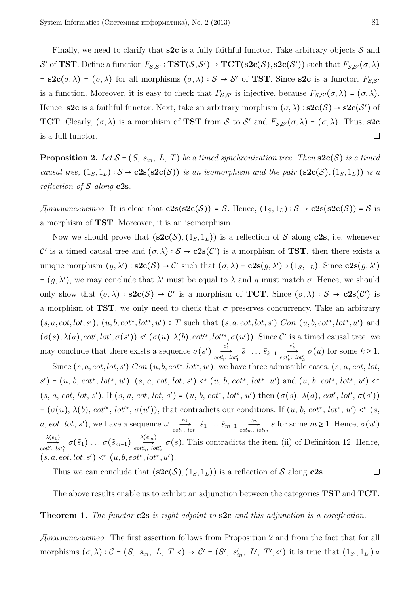Finally, we need to clarify that  $s2c$  is a fully faithful functor. Take arbitrary objects  $S$  and  $\mathcal{S}'$  of **TST**. Define a function  $F_{\mathcal{S},\mathcal{S}'} : \mathbf{TST}(\mathcal{S},\mathcal{S}') \to \mathbf{TCT}(\mathbf{s2c}(\mathcal{S}),\mathbf{s2c}(\mathcal{S}'))$  such that  $F_{\mathcal{S},\mathcal{S}'}(\sigma,\lambda)$  $=$  **s2c**( $\sigma$ , $\lambda$ ) = ( $\sigma$ , $\lambda$ ) for all morphisms ( $\sigma$ , $\lambda$ ) :  $S \rightarrow S'$  of **TST**. Since **s2c** is a functor,  $F_{S,S'}$ is a function. Moreover, it is easy to check that  $F_{\mathcal{S},\mathcal{S}'}$  is injective, because  $F_{\mathcal{S},\mathcal{S}'}(\sigma,\lambda) = (\sigma,\lambda)$ . Hence, **s2c** is a faithful functor. Next, take an arbitrary morphism  $(\sigma, \lambda) : s2c(\mathcal{S}) \rightarrow s2c(\mathcal{S}')$  of **TCT**. Clearly,  $(\sigma, \lambda)$  is a morphism of **TST** from S to S' and  $F_{S,S'}(\sigma, \lambda) = (\sigma, \lambda)$ . Thus, **s2c** is a full functor.  $\Box$ 

**Proposition 2.** Let  $S = (S, s_{in}, L, T)$  be a timed synchronization tree. Then  $s2c(S)$  is a timed *causal tree,*  $(1_S, 1_L)$ :  $S \rightarrow c2s(s2c(S))$  *is an isomorphism and the pair*  $(s2c(S), (1_S, 1_L))$  *is a reflection of* S *along* **c2s***.*

*Доказательство.* It is clear that  $c2s(s2c(S)) = S$ . Hence,  $(1_S, 1_L) : S \rightarrow c2s(s2c(S)) = S$  is a morphism of **TST**. Moreover, it is an isomorphism.

Now we should prove that  $({\bf s2c}(\mathcal{S}), (1_S, 1_L))$  is a reflection of S along **c2s**, i.e. whenever C' is a timed causal tree and  $(\sigma, \lambda) : S \to \mathbf{c2s}(\mathcal{C}')$  is a morphism of **TST**, then there exists a unique morphism  $(g, \lambda') : s2c(\mathcal{S}) \to \mathcal{C}'$  such that  $(\sigma, \lambda) = c2s(g, \lambda') \circ (1_S, 1_L)$ . Since  $c2s(g, \lambda')$  $= (g, λ')$ , we may conclude that  $λ'$  must be equal to  $λ$  and  $g$  must match  $σ$ . Hence, we should only show that  $(\sigma, \lambda) : \mathbf{S2c}(\mathcal{S}) \to \mathcal{C}'$  is a morphism of **TCT**. Since  $(\sigma, \lambda) : \mathcal{S} \to \mathbf{c2s}(\mathcal{C}')$  is a morphism of **TST**, we only need to check that  $\sigma$  preserves concurrency. Take an arbitrary  $(s, a, \text{cot}, \text{lot}, s')$ ,  $(u, b, \text{cot}^*, \text{lot}^*, u') \in T$  such that  $(s, a, \text{cot}, \text{lot}, s')$  *Con*  $(u, b, \text{cot}^*, \text{lot}^*, u')$  and  $(\sigma(s), \lambda(a), \text{eot}', \text{lot}', \sigma(s')) \leq (\sigma(u), \lambda(b), \text{eot'}^*, \text{lot'}^*, \sigma(u'))$ . Since C' is a timed causal tree, we may conclude that there exists a sequence  $\sigma(s')$  $\overrightarrow{e_1}$   $\overrightarrow{e_2}$   $\overrightarrow{e_3}$   $\overrightarrow{e_4}$   $\overrightarrow{e_5}$   $\overrightarrow{e_6}$  *k*  $\overrightarrow{e_7}$  *k*  $\overrightarrow{e_8}$  *k*  $\overrightarrow{e_8}$  *k*  $\overrightarrow{e_8}$  *k*  $\overrightarrow{e_1}$ 

Since  $(s, a, \text{cot}, \text{lot}, s')$   $Con$   $(u, b, \text{cot}^*, \text{lot}^*, u')$ , we have three admissible cases:  $(s, a, \text{cot}, \text{lot}, s')$  $s'$ ) = (u, b, eot\*, lot\*, u'), (s, a, eot, lot, s') <\* (u, b, eot\*, lot\*, u') and (u, b, eot\*, lot\*, u') <\*  $(s, a, eot, lot, s')$ . If  $(s, a, eot, lot, s') = (u, b, eot^*, lot^*, u')$  then  $(\sigma(s), \lambda(a), eot', lot', \sigma(s'))$  $= (\sigma(u), \lambda(b), \text{ } \text{cot'}^*, \text{ } \text{lot'}^*, \sigma(u'))$ , that contradicts our conditions. If  $(u, b, \text{ } \text{cot}^*, \text{ } \text{lot'}^*, u') \leq^* (s, b')$ *a*, *eot*, *lot*, *s'*), we have a sequence  $u'$ <sub>*eot*<sub>1</sub></sub>  $\overrightarrow{s_1} \xrightarrow{\tilde{s}_1} \dots \overrightarrow{s_{m-1}} \xrightarrow{e_m}$  $\overrightarrow{e_{\text{tot}_{m}}}, \overrightarrow{b_{\text{tot}_{m}}}$  *s* for some  $m \geq 1$ . Hence,  $\sigma(u')$  $\lambda(e_1)$  $\overrightarrow{\lambda(e_1)}\atop \operatorname{cot}''_1, \, \operatorname{lot}''_1} \sigma(\tilde{s}_1) \, \ldots \, \sigma(\tilde{s}_{m-1}) \underbrace{\lambda(e_m)}_{\operatorname{cot}''_m, \, \, \operatorname{loc}''_1}$  $\overbrace{\text{cot}_{m}''', \text{tot}'_{m}}^{\text{cont}} \sigma(s)$ . This contradicts the item (ii) of Definition 12. Hence,  $(s, a, eot, lot, s') \leq^* (u, b, eot^*, lot^*, u').$ 

Thus we can conclude that  $(\mathbf{s2c}(\mathcal{S}), (1_S, 1_L))$  is a reflection of S along **c2s**.  $\Box$ 

The above results enable us to exhibit an adjunction between the categories **TST** and **TCT**.

#### **Theorem 1.** *The functor* **c2s** *is right adjoint to* **s2c** *and this adjunction is a coreflection.*

*Доказательство.* The first assertion follows from Proposition 2 and from the fact that for all morphisms  $(\sigma, \lambda) : \mathcal{C} = (S, s_{in}, L, T, \leq) \to \mathcal{C}' = (S', s'_{in}, L', T', \leq')$  it is true that  $(1_{S'}, 1_{L'}) \circ$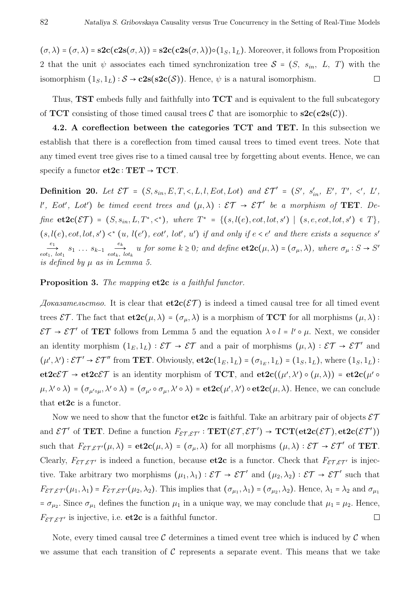$(\sigma, \lambda) = (\sigma, \lambda) = s2c(c2s(\sigma, \lambda)) = s2c(c2s(\sigma, \lambda)) \circ (1_S, 1_L)$ . Moreover, it follows from Proposition 2 that the unit  $\psi$  associates each timed synchronization tree  $S = (S, s_{in}, L, T)$  with the isomorphism  $(1_S, 1_L)$ :  $S \rightarrow c2s(s2c(S))$ . Hence,  $\psi$  is a natural isomorphism.  $\Box$ 

Thus, **TST** embeds fully and faithfully into **TCT** and is equivalent to the full subcategory of **TCT** consisting of those timed causal trees  $\mathcal{C}$  that are isomorphic to  $s2c(c2s(\mathcal{C}))$ .

**4.2. A coreflection between the categories TCT and TET.** In this subsection we establish that there is a coreflection from timed causal trees to timed event trees. Note that any timed event tree gives rise to a timed causal tree by forgetting about events. Hence, we can specify a functor  $et2c : TET \rightarrow TCT$ .

**Definition 20.** *Let* ET = (*S, sin, E, T,* <*, L,l, Eot, Lot*) *and* ET ′ = (*S* ′ *, s* ′ *in, E*′ *, T* ′ *,* < ′ *, L*′ *, l*<sup> $l$ </sup>, *Eot*<sup>'</sup>, *Lot*<sup>'</sup>) *be timed event trees and*  $(\mu, \lambda) : \mathcal{ET} \to \mathcal{ET}'$  *be a morphism of* **TET***. De* $fine \textbf{ etc} ( \mathcal{E} \mathcal{T} ) = (S, s_{in}, L, T^*, \leq^*), \textbf{ where } T^* = \{ (s, l(e), eot, lot, s') \mid (s, e, eot, lot, s') \in T \},$  $(s, l(e), eot, lot, s') \leq^* (u, l(e'), eot', lot', u')$  if and only if  $e < e'$  and there exists a sequence s' *e*1  $\overrightarrow{e_1}$   $s_1 \ldots s_{k-1}$   $\overrightarrow{e_k}$ <br>*eot<sub>1</sub>*, *lot*<sub>1</sub>  $\underset{e \circ t_k, \, l \circ t_k}{\overset{e_k}{\longrightarrow}} u$  *for some*  $k \geq 0$ *;* and define  $\text{et2c}(\mu, \lambda) = (\sigma_{\mu}, \lambda)$ *, where*  $\sigma_{\mu}: S \to S'$ *is defined by µ as in Lemma 5.*

## **Proposition 3.** *The mapping* **et2c** *is a faithful functor.*

 $\Delta\alpha$  *Доказательство*. It is clear that  $\text{et2c}(\mathcal{ET})$  is indeed a timed causal tree for all timed event trees  $\mathcal{ET}$ . The fact that  $\mathbf{etc2c}(\mu, \lambda) = (\sigma_{\mu}, \lambda)$  is a morphism of **TCT** for all morphisms  $(\mu, \lambda)$ :  $\mathcal{E}\mathcal{T} \to \mathcal{E}\mathcal{T}'$  of **TET** follows from Lemma 5 and the equation  $\lambda \circ l = l' \circ \mu$ . Next, we consider an identity morphism  $(1_E, 1_L) : \mathcal{ET} \to \mathcal{ET}$  and a pair of morphisms  $(\mu, \lambda) : \mathcal{ET} \to \mathcal{ET}'$  and  $(\mu', \lambda') : \mathcal{ET}' \to \mathcal{ET}''$  from **TET**. Obviously, **et2c**( $1_E, 1_L$ ) = ( $\sigma_{1_E}, 1_L$ ) = ( $1_S, 1_L$ ), where ( $1_S, 1_L$ ) : **et2c** $\mathcal{E}\mathcal{T} \to \mathbf{et2c}\mathcal{E}\mathcal{T}$  is an identity morphism of **TCT**, and  $\mathbf{et2c}((\mu', \lambda') \circ (\mu, \lambda)) = \mathbf{et2c}(\mu' \circ \lambda')$  $(\mu, \lambda' \circ \lambda) = (\sigma_{\mu' \circ \mu}, \lambda' \circ \lambda) = (\sigma_{\mu'} \circ \sigma_{\mu}, \lambda' \circ \lambda) = \textbf{et2c}(\mu', \lambda') \circ \textbf{et2c}(\mu, \lambda).$  Hence, we can conclude that **et2c** is a functor.

Now we need to show that the functor  $et2c$  is faithful. Take an arbitrary pair of objects  $\mathcal{ET}$ and  $\mathcal{E}\mathcal{T}'$  of **TET**. Define a function  $F_{\mathcal{E}\mathcal{T},\mathcal{E}\mathcal{T}'} : \mathbf{TET}(\mathcal{E}\mathcal{T},\mathcal{E}\mathcal{T}') \to \mathbf{TCT}(\mathbf{et2c}(\mathcal{E}\mathcal{T}),\mathbf{et2c}(\mathcal{E}\mathcal{T}'))$ such that  $F_{\mathcal{ET},\mathcal{ET}}(\mu,\lambda) = \mathbf{et2c}(\mu,\lambda) = (\sigma_{\mu},\lambda)$  for all morphisms  $(\mu,\lambda) : \mathcal{ET} \to \mathcal{ET}'$  of **TET**. Clearly,  $F_{\mathcal{E} \mathcal{T}, \mathcal{E} \mathcal{T}'}$  is indeed a function, because **et2c** is a functor. Check that  $F_{\mathcal{E} \mathcal{T}, \mathcal{E} \mathcal{T}'}$  is injective. Take arbitrary two morphisms  $(\mu_1, \lambda_1) : \mathcal{ET} \to \mathcal{ET}'$  and  $(\mu_2, \lambda_2) : \mathcal{ET} \to \mathcal{ET}'$  such that  $F_{\mathcal{ET},\mathcal{ET}}(\mu_1,\lambda_1) = F_{\mathcal{ET},\mathcal{ET}'}(\mu_2,\lambda_2)$ . This implies that  $(\sigma_{\mu_1},\lambda_1) = (\sigma_{\mu_2},\lambda_2)$ . Hence,  $\lambda_1 = \lambda_2$  and  $\sigma_{\mu_1}$  $= \sigma_{\mu_2}$ . Since  $\sigma_{\mu_1}$  defines the function  $\mu_1$  in a unique way, we may conclude that  $\mu_1 = \mu_2$ . Hence,  $F_{\mathcal{ET}.\mathcal{ET}'}$  is injective, i.e. **et2c** is a faithful functor.  $\Box$ 

Note, every timed causal tree  $\mathcal C$  determines a timed event tree which is induced by  $\mathcal C$  when we assume that each transition of  $\mathcal C$  represents a separate event. This means that we take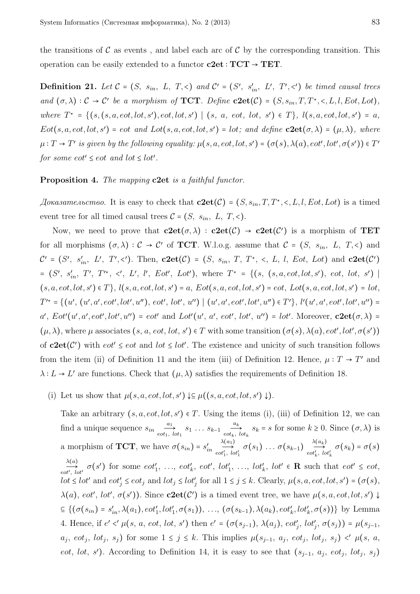the transitions of  $\mathcal C$  as events, and label each arc of  $\mathcal C$  by the corresponding transition. This operation can be easily extended to a functor **c2et** <sup>∶</sup> **TCT** <sup>→</sup> **TET**.

**Definition 21.** Let  $C = (S, s_{in}, L, T, <)$  and  $C' = (S', s'_{in}, L', T', <')$  be timed causal trees *and*  $(\sigma, \lambda) : C \to C'$  *be a morphism of* **TCT***. Define* **c2et**(C) =  $(S, s_{in}, T, T^{\star}, \leq, L, l, Eot, Lot)$ *,* where  $T^* = \{(s, (s, a, eot, lot, s'), eot, lot, s') | (s, a, eot, lot, s') \in T\}, l(s, a, eot, lot, s') = a,$  $Eot(s, a, eot, lot, s') = eot$  *and*  $Lot(s, a, eot, lot, s') = lot$ ; *and* define  $c2et(\sigma, \lambda) = (\mu, \lambda)$ *, where*  $\mu: T \to T'$  is given by the following equality:  $\mu(s, a, \text{cot}, \text{lot}, s') = (\sigma(s), \lambda(a), \text{cot}', \text{lot}', \sigma(s')) \in T'$ *for some eot'*  $\le$  *eot and*  $lot \le$   $lot'$ .

## **Proposition 4.** *The mapping* **c2et** *is a faithful functor.*

*Доказательство.* It is easy to check that  $c2et(C) = (S, s_{in}, T, T^*, \leq, L, l, Eot, Lot)$  is a timed event tree for all timed causal trees  $C = (S, s_{in}, L, T, \leq)$ .

Now, we need to prove that  $c2et(\sigma, \lambda)$  :  $c2et(\mathcal{C}) \rightarrow c2et(\mathcal{C}')$  is a morphism of **TET** for all morphisms  $(\sigma, \lambda) : C \to C'$  of **TCT**. W.l.o.g. assume that  $C = (S, s_{in}, L, T, \le)$  and  $\mathcal{C}' = (S', s'_{in}, L', T', <')$ . Then,  $c2et(\mathcal{C}) = (S, s_{in}, T, T^*, <, L, l, Eot, Lot)$  and  $c2et(\mathcal{C}')$  $= (S', s'_{in}, T', T'^*, \langle', L', l', Eot', Lot'),$  where  $T^* = \{(s, (s, a, eot, lot, s'), eot, lot, s') \mid$  $(s, a, eot, lot, s') \in T$ ,  $l(s, a, eot, lot, s') = a, Eot(s, a, eot, lot, s') = eot, Lot(s, a, eot, lot, s') = lot,$  $T'^{\star} = \{(u', (u', a', eot', lot', u''), eot', lot', u'') | (u', a', eot', lot', u'') \in T'\}, \, l'(u', a', eot', lot', u'') =$ a', Eot'(u', a', eot', lot', u'') = eot' and Lot'(u', a', eot', lot', u'') = lot'. Moreover,  $c2et(\sigma, \lambda)$  =  $(\mu, \lambda)$ , where  $\mu$  associates  $(s, a, \text{eot}, \text{lot}, s') \in T$  with some transition  $(\sigma(s), \lambda(a), \text{eot}', \text{lot}', \sigma(s'))$ of  $c2et(C')$  with  $eot' \leq eot$  and  $lot \leq lot'$ . The existence and unicity of such transition follows from the item (ii) of Definition 11 and the item (iii) of Definition 12. Hence,  $\mu: T \to T'$  and  $\lambda: L \to L'$  are functions. Check that  $(\mu, \lambda)$  satisfies the requirements of Definition 18.

(i) Let us show that  $\mu(s, a, eot, lot, s') \downarrow\subseteq \mu((s, a, eot, lot, s') \downarrow).$ 

Take an arbitrary  $(s, a, \text{cot}, \text{lot}, s') \in T$ . Using the items (i), (iii) of Definition 12, we can find a unique sequence  $s_{in}$   $\frac{a_1}{a_2}$  $\overrightarrow{a_1}$   $s_1 \dots s_{k-1}$   $\overrightarrow{a_k}$ <br>*eot<sub>k</sub>*, *lot*<sub>1</sub>  $\sum_{i=0}^{\infty} s_k = s$  for some  $k \geq 0$ . Since  $(\sigma, \lambda)$  is a morphism of **TCT**, we have  $\sigma(s_{in}) = s'_{in}$  $λ(a<sub>1</sub>)$  $\overrightarrow{a}(a_1)$   $\overrightarrow{a}(s_1)$   $\ldots$   $\sigma(s_{k-1})$   $\overrightarrow{a}(a_k)$   $\overrightarrow{a}(t'_1, b(t'_1))$  $\overrightarrow{c}_{\text{tot}'_k}$ ,  $\overrightarrow{c}_{\text{tot}'_k}$   $\sigma(s_k) = \sigma(s)$ *λ*(*a*)  $\overrightarrow{cot'}_{tot'}$   $\sigma(s')$  for some  $eot'_{1}, \ldots, eot'_{k}, eot', \text{lot}'_{1}, \ldots, \text{lot}'_{k}, \text{lot}' \in \mathbf{R}$  such that  $eot' \leq eot$ ,  $lot \leq lot'$  and  $eot'_{j} \leq eot_{j}$  and  $lot_{j} \leq lot'_{j}$  for all  $1 \leq j \leq k$ . Clearly,  $\mu(s, a, eot, lot, s') = (\sigma(s),$  $\lambda(a)$ , *eot'*, *lot'*,  $\sigma(s')$ ). Since  $c2et(C')$  is a timed event tree, we have  $\mu(s, a, eot, lot, s')$  $\subseteq \{(\sigma(s_{in}) = s'_{in}, \lambda(a_1), \text{cot}'_1, \text{tot}'_1, \sigma(s_1)), \dots, (\sigma(s_{k-1}), \lambda(a_k), \text{cot}'_k, \text{tot}'_k, \sigma(s))\}\$ by Lemma 4. Hence, if  $e' < \mu(s, a, \text{cot}, \text{lot}, s')$  then  $e' = (\sigma(s_{j-1}), \lambda(a_j), \text{cot}'_j, \text{lot}'_j, \sigma(s_j)) = \mu(s_{j-1}, s_{j-1}, \text{cat} \cdot s_{j-1})$  $a_j$ ,  $eot_j$ ,  $lot_j$ ,  $s_j$ ) for some  $1 \leq j \leq k$ . This implies  $\mu(s_{j-1}, a_j, eot_j, lot_j, s_j) \leq \mu(s, a,$ *eot*, *lot*, *s*<sup> $\prime$ </sup>). According to Definition 14, it is easy to see that  $(s_{j-1}, a_j, e^{ot_j}, lot_j, s_j)$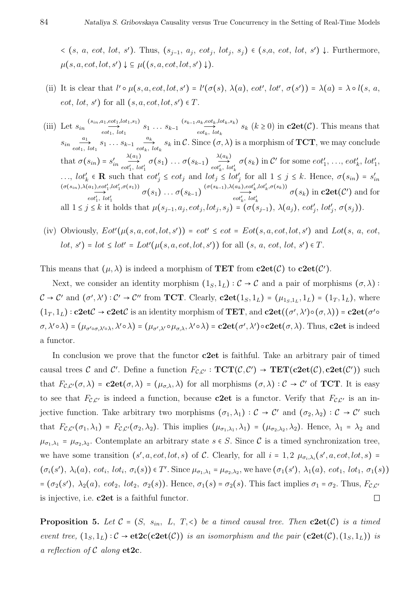$\langle s, a, eot, lot, s'\rangle$ . Thus,  $(s_{j-1}, a_j, eot_j, lot_j, s_j) \in (s,a, eot, lot, s') \downarrow$ . Furthermore,  $\mu(s, a, e \circ t, l \circ t, s') \downarrow \subseteq \mu((s, a, e \circ t, l \circ t, s') \downarrow).$ 

- (ii) It is clear that  $l' \circ \mu(s, a, eot, lot, s') = l'(\sigma(s), \lambda(a), eot', lot', \sigma(s')) = \lambda(a) = \lambda \circ l(s, a,$ *eot, lot, s'*) for all  $(s, a, eot, lot, s') \in T$ .
- (iii) Let  $s_{in} \xrightarrow{(s_{in}, a_1, e_0, t_1, l_0, t_1, s_1)}$  $\overrightarrow{e_{1},e}^{a_{1},e_{1},o_{1}}$   $\overrightarrow{e_{1},e_{2},e_{3},e_{1}}$   $\overrightarrow{e_{2},e_{3},e_{4}}$   $\overrightarrow{e_{3},e_{4},e_{5}}$   $\overrightarrow{e_{4},e_{5},e_{6}}$  $\sum_{k=1}^{\infty} S_k(\mathbf{k} \geq 0)$  in **c2et**(C). This means that  $s_{in}$ <sup>*a*1</sup>  $\overrightarrow{a_1}$   $s_1 \dots s_{k-1}$   $\overrightarrow{a_k}$ <br>*eot<sub>1</sub>*, *lot*<sub>1</sub>  $\frac{dE}{dt} s_k$  in C. Since  $(\sigma, \lambda)$  is a morphism of **TCT**, we may conclude that  $\sigma(s_{in}) = s'_{in}$ *λ*(*a*1)  $\overrightarrow{cot}'_1, \overrightarrow{lot}'_1 \subset \sigma(s_1) \ldots \sigma(s_{k-1}) \xrightarrow{ \lambda(a_k) }_{\substack{e \sigma t'_k, \ b}}$  $\overrightarrow{cot}'_k$ ,  $\overrightarrow{tot}'_k$   $\sigma(s_k)$  in C' for some  $\overrightarrow{cot}'_1$ , ...,  $\overrightarrow{cot}'_k$ ,  $\overrightarrow{lot}'_1$ , ...,  $\textit{lot}'_k \in \mathbb{R}$  such that  $\textit{cot}'_j \leq \textit{cot}_j$  and  $\textit{lot}_j \leq \textit{lot}'_j$  for all  $1 \leq j \leq k$ . Hence,  $\sigma(s_{in}) = s'_{in}$  $(\sigma(s_{in}),\lambda(a_1),\omega_1',\omega_1',\sigma(s_1))$  $\overrightarrow{cot'_{1}}$ ,  $\overrightarrow{lot'_{1}}$ , $\sigma(s_{1})$   $\ldots$   $\sigma(s_{k-1})$   $\stackrel{(\sigma(s_{k-1}),\lambda(a_{k}),cot'_{k},\sigma(s_{k}))}{\longrightarrow}$ <br>  $\overrightarrow{cot'_{k}}$ ,  $\overrightarrow{lot'_{k}}$ ,  $\overrightarrow{lot'_{k}}$  $\overrightarrow{c}$  *eot*<sub>k</sub>, lot<sub>k</sub></sub>  $\overrightarrow{c}$  *o*(*s*<sub>k</sub>) in **c2et**(C') and for all  $1 \leq j \leq k$  it holds that  $\mu(s_{j-1}, a_j, \text{cot}_j, \text{lot}_j, s_j) = (\sigma(s_{j-1}), \lambda(a_j), \text{cot}'_j, \text{lot}'_j, \sigma(s_j)).$
- (iv) Obviously,  $Eot'(\mu(s, a, \text{cot}, \text{lot}, s')) = \text{cot'} \leq \text{cot} = Eot(s, a, \text{cot}, \text{lot}, s')$  and  $Lot(s, a, \text{cot}, \text{tot})$ *lot*,  $s'$ ) = *lot*  $\le$  *lot'* = *Lot'*( $\mu(s, a, \text{eot}, \text{lot}, s')$ ) for all  $(s, a, \text{eot}, \text{lot}, s') \in T$ .

This means that  $(\mu, \lambda)$  is indeed a morphism of **TET** from  $c2et(\mathcal{C})$  to  $c2et(\mathcal{C})$ .

Next, we consider an identity morphism  $(1_S, 1_L) : C \to C$  and a pair of morphisms  $(\sigma, \lambda)$ :  $\mathcal{C} \to \mathcal{C}'$  and  $(\sigma', \lambda') : \mathcal{C}' \to \mathcal{C}''$  from **TCT**. Clearly,  $c2et(1_S, 1_L) = (\mu_{1_S, 1_L}, 1_L) = (1_T, 1_L)$ , where  $(1_T, 1_L) : \mathbf{c2etC} \to \mathbf{c2etC}$  is an identity morphism of **TET**, and  $\mathbf{c2et}((\sigma', \lambda') \circ (\sigma, \lambda)) = \mathbf{c2et}(\sigma' \circ \lambda)$  $(\sigma, \lambda' \circ \lambda) = (\mu_{\sigma' \circ \sigma, \lambda' \circ \lambda}, \lambda' \circ \lambda) = (\mu_{\sigma', \lambda'} \circ \mu_{\sigma, \lambda}, \lambda' \circ \lambda) = c2et(\sigma', \lambda') \circ c2et(\sigma, \lambda).$  Thus, c2et is indeed a functor.

In conclusion we prove that the functor **c2et** is faithful. Take an arbitrary pair of timed causal trees C and C'. Define a function  $F_{\mathcal{C},\mathcal{C}'} : \mathbf{TCT}(\mathcal{C},\mathcal{C}') \to \mathbf{TET}(\mathbf{c2et}(\mathcal{C}), \mathbf{c2et}(\mathcal{C}'))$  such that  $F_{\mathcal{C},\mathcal{C}'}(\sigma,\lambda) = \mathbf{c2et}(\sigma,\lambda) = (\mu_{\sigma,\lambda},\lambda)$  for all morphisms  $(\sigma,\lambda) : \mathcal{C} \to \mathcal{C}'$  of **TCT**. It is easy to see that  $F_{\mathcal{C},\mathcal{C}'}$  is indeed a function, because **c2et** is a functor. Verify that  $F_{\mathcal{C},\mathcal{C}'}$  is an injective function. Take arbitrary two morphisms  $(\sigma_1, \lambda_1) : C \to C'$  and  $(\sigma_2, \lambda_2) : C \to C'$  such that  $F_{\mathcal{C},\mathcal{C}'}(\sigma_1,\lambda_1) = F_{\mathcal{C},\mathcal{C}'}(\sigma_2,\lambda_2)$ . This implies  $(\mu_{\sigma_1,\lambda_1},\lambda_1) = (\mu_{\sigma_2,\lambda_2},\lambda_2)$ . Hence,  $\lambda_1 = \lambda_2$  and  $\mu_{\sigma_1,\lambda_1} = \mu_{\sigma_2,\lambda_2}$ . Contemplate an arbitrary state  $s \in S$ . Since C is a timed synchronization tree, we have some transition  $(s', a, eot, lot, s)$  of C. Clearly, for all  $i = 1, 2$   $\mu_{\sigma_i, \lambda_i}(s', a, eot, lot, s)$  $(\sigma_i(s'), \lambda_i(a), \text{ } \text{cot}_i, \text{ } \text{lot}_i, \text{ } \sigma_i(s)) \in T'.$  Since  $\mu_{\sigma_1, \lambda_1} = \mu_{\sigma_2, \lambda_2}$ , we have  $(\sigma_1(s'), \lambda_1(a), \text{ } \text{cot}_1, \text{ } \text{lot}_1, \text{ } \sigma_1(s))$ =  $(\sigma_2(s'), \lambda_2(a), \text{ } \cot_2, \text{ } \text{lot}_2, \text{ } \sigma_2(s))$ . Hence,  $\sigma_1(s) = \sigma_2(s)$ . This fact implies  $\sigma_1 = \sigma_2$ . Thus,  $F_{\mathcal{C},\mathcal{C}'}$ is injective, i.e. **c2et** is a faithful functor.  $\Box$ 

**Proposition 5.** Let  $C = (S, s_{in}, L, T, \leq)$  be a timed causal tree. Then  $c2et(C)$  is a timed *event tree,*  $(1_S, 1_L)$ :  $C \rightarrow et2c(c2et(C))$  *is an isomorphism and the pair*  $(c2et(C), (1_S, 1_L))$  *is a reflection of*  $C$  *along* **et2c**.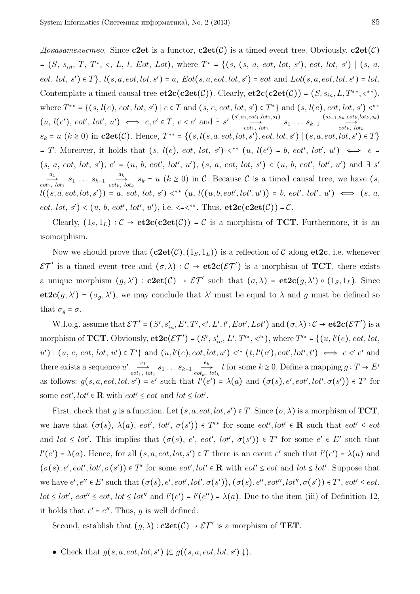*Доказательство.* Since **c2et** is a functor, **c2et**(C) is a timed event tree. Obviously, **c2et**(C)  $= (S, s_{in}, T, T^*, \leq L, l, Eot, Lot),$  where  $T^* = \{(s, (s, a, eot, lot, s'), eot, lot, s') | (s, a, c, c')\}$  $ect, lot, s') \in T\},$   $l(s, a, eot, lot, s') = a, Eot(s, a, eot, lot, s') = eot$  and  $Lot(s, a, eot, lot, s') = lot.$ Contemplate a timed causal tree  $\text{et2c}(\text{c2et}(\mathcal{C}))$ . Clearly,  $\text{et2c}(\text{c2et}(\mathcal{C})) = (S, s_{in}, L, T^{**}, \langle \cdot \rangle)$ , where  $T^{**} = \{(s, l(e), eot, tot, s') \mid e \in T \text{ and } (s, e, eot, lot, s') \in T^*\}\$  and  $(s, l(e), eot, lot, s') <$ \*\*  $(u, l(e'), \text{ } \text{cot} \text{'}, \text{ } \text{lot} \text{'}, \text{ } u') \iff e, e' \in T, e < e' \text{ and } \exists s' \stackrel{(s', a_1, \text{ } \text{cot}_1, \text{lot}_1, \text{bd}_2, \text{ad}_3)}{\longrightarrow}$  $\overrightarrow{sect_1, lot_1, st_1}(s_1, s_1)$ <br>  $\overrightarrow{esct_k, lot_k}(s_k, s_k)$ <br>  $\overrightarrow{esct_k, lot_k}(s_k, s_k)$  $\overrightarrow{cot_k}$ ,  $\overrightarrow{lot_k}$ *s*<sub>*k*</sub> = *u* (*k* ≥ 0) in **c2et**(*C*). Hence, *T*<sup>\*\*</sup> = {(*s,l*(*s,a,eot,lot,s'*)*,eot,lot,s'*) | (*s,a,eot,lot,s'*) ∈ *T*}  $= T$ . Moreover, it holds that  $(s, l(e), \text{eot}, \text{lot}, s') \leq^* (u, l(e') = b, \text{eot}', \text{lot}', u') \iff e =$  $(s, a, \text{ eot}, \text{ lot}, s')$ ,  $e' = (u, b, \text{ eot}', \text{ lot}', u')$ ,  $(s, a, \text{ eot}, \text{ lot}, s') < (u, b, \text{ eot}', \text{ lot}', u')$  and  $\exists s'$ *a*1  $\overrightarrow{a_1}$   $s_1$   $\ldots$   $s_{k-1}$   $\overrightarrow{a_k}$ <br>*eot<sub>i</sub>*, *lot*<sub>1</sub>  $\frac{dE}{dt}$   $s_k = u$  ( $k \ge 0$ ) in C. Because C is a timed causal tree, we have (*s*,  $l((s, a, eot, lot, s')) = a, eot, lot, s') \leq^* (u, l((u, b, eot', lot', u')) = b, eot', lot', u') \iff (s, a,$ *eot*, *lot*, *s'*) < (*u*, *b*, *eot'*, *lot'*, *u'*), i.e. <=<\*\*. Thus,  $\text{et2c}(\text{c2et}(\mathcal{C})) = \mathcal{C}$ .

Clearly,  $(1_S, 1_L) : \mathcal{C} \to \mathbf{et2c}(\mathbf{c2et}(\mathcal{C})) = \mathcal{C}$  is a morphism of **TCT**. Furthermore, it is an isomorphism.

Now we should prove that  $(c2et(\mathcal{C}), (1_S, 1_L))$  is a reflection of  $\mathcal C$  along et 2c, i.e. whenever  $\mathcal{E}\mathcal{T}'$  is a timed event tree and  $(\sigma, \lambda) : \mathcal{C} \to \mathbf{et2c}(\mathcal{E}\mathcal{T}')$  is a morphism of **TCT**, there exists a unique morphism  $(g, \lambda') : \mathbf{c2et}(\mathcal{C}) \to \mathcal{ET}'$  such that  $(\sigma, \lambda) = \mathbf{et2c}(g, \lambda') \circ (1_S, 1_L)$ . Since **et2c**(*g*,  $\lambda'$ ) = ( $\sigma_g$ ,  $\lambda'$ ), we may conclude that  $\lambda'$  must be equal to  $\lambda$  and *g* must be defined so that  $\sigma_q = \sigma$ .

W.l.o.g. assume that  $\mathcal{ET}' = (S', s'_{in}, E', T', <', L', l', Eot', Lot')$  and  $(\sigma, \lambda) : C \to \mathbf{etc}(\mathcal{ET}')$  is a morphism of **TCT**. Obviously,  $\mathbf{et2c}(\mathcal{ET}') = (S', s'_{in}, L', T'^*, \langle '*\rangle)$ , where  $T'^* = \{(u, l'(e), eot, lot,$  $u'\n\begin{bmatrix} u, e, eot, lot, u' \end{bmatrix} \in T'\}$  and  $(u, l'(e), eot, lot, u') \lt'^* (t, l'(e'), eot', lot', t') \iff e \lt' e'$  and there exists a sequence  $u' \frac{e_1}{e_2}$  $\overrightarrow{e_1}$  *s*<sub>1</sub> *...*  $s_{k-1}$   $\overrightarrow{e_k}$  *eot*<sub>k</sub>,  $\underset{eot_k}{\xrightarrow{e_k}} t$  for some  $k \ge 0$ . Define a mapping  $g: T \to E'$ as follows:  $g(s, a, \text{cot}, \text{lot}, s') = e'$  such that  $l'(e') = \lambda(a)$  and  $(\sigma(s), e', \text{cot}', \text{lot}', \sigma(s')) \in T'$  for some  $eot', lot' \in \mathbf{R}$  with  $eot' \leq eot$  and  $lot \leq lot'.$ 

First, check that *g* is a function. Let  $(s, a, eot, lot, s') \in T$ . Since  $(\sigma, \lambda)$  is a morphism of **TCT**, we have that  $(\sigma(s), \lambda(a), \text{eot}', \text{lot}', \sigma(s')) \in T'^*$  for some  $\text{eot}', \text{lot}' \in \mathbb{R}$  such that  $\text{eot}' \leq \text{eot}$ and  $\text{lot} \leq \text{lot'}$ . This implies that  $(\sigma(s), e', \text{eot'}, \text{lot'}, \sigma(s')) \in T'$  for some  $e' \in E'$  such that  $l'(e') = \lambda(a)$ . Hence, for all  $(s, a, eot, lot, s') \in T$  there is an event *e*' such that  $l'(e') = \lambda(a)$  and  $(\sigma(s), e', \text{eot}', \text{lot}', \sigma(s')) \in T'$  for some  $\text{eot}', \text{lot}' \in \mathbf{R}$  with  $\text{eot}' \leq \text{eot}$  and  $\text{lot} \leq \text{lot}'.$  Suppose that we have  $e', e'' \in E'$  such that  $(\sigma(s), e', \text{eot}', \text{lot}', \sigma(s'))$ ,  $(\sigma(s), e'', \text{eot}'', \text{lot}'', \sigma(s')) \in T'$ ,  $\text{eot}' \leq \text{eot}$ , *lot*  $\le$  *lot'*, *eot''*  $\le$  *eot*, *lot*  $\le$  *lot''* and *l'*(*e'*) = *l'*(*e''*) =  $\lambda$ (*a*). Due to the item (iii) of Definition 12, it holds that  $e' = e''$ . Thus,  $g$  is well defined.

Second, establish that  $(g, \lambda) : \mathbf{c2et}(\mathcal{C}) \to \mathcal{ET}'$  is a morphism of **TET**.

• Check that  $g(s, a, eot, lot, s') \downarrow\subseteq g((s, a, eot, lot, s') \downarrow).$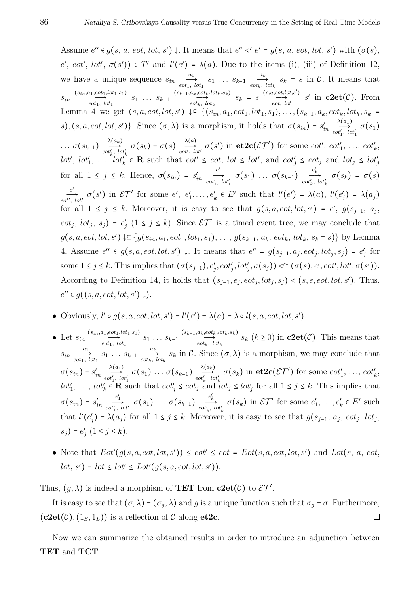Assume  $e'' \in g(s, a, eot, lot, s') \downarrow$ . It means that  $e'' < e' = g(s, a, eot, lot, s')$  with  $(\sigma(s),$  $e'$ ,  $eot'$ ,  $lot'$ ,  $\sigma(s')$ )  $\in T'$  and  $l'(e') = \lambda(a)$ . Due to the items (i), (iii) of Definition 12, we have a unique sequence  $s_{in}$  $\overrightarrow{a_1}$   $s_1$   $\cdots$   $s_{k-1}$   $\overrightarrow{a_k}$ <br>*eot<sub>k</sub>*,  $\frac{d}{\partial x}$   $s_k = s$  in C. It means that  $s_{in} \xrightarrow{(s_{in}, a_1, e_0, t_1, l_0, t_1, s_1)}$  $\overrightarrow{e_{1},e}$ ,  $\overrightarrow{e_{1},f}$ ,  $\overrightarrow{e_{1},f}$   $\overrightarrow{e_{2},f}$   $\overrightarrow{e_{2},f}$   $\overrightarrow{e_{2},f}$   $\overrightarrow{e_{2},f}$   $\overrightarrow{e_{2},f}$  $\overrightarrow{a_k, \text{cot}_k, \text{lot}_k, s_k}$   $s_k = s \xrightarrow{\text{(s,a,eot,lot,s')}} s'$  in **c2et**(C). From Lemma 4 we get  $(s, a, eot, lot, s') \Leftrightarrow \{(s_{in}, a_1, eot_1, lot_1, s_1), \ldots, (s_{k-1}, a_k, eot_k, lot_k, s_k =$  $s$ )*,* (*s, a, eot, lot, s'*)}. Since  $(\sigma, \lambda)$  is a morphism, it holds that  $\sigma(s_{in}) = s'_{in}$  $\lambda(a_1)$  $\overrightarrow{cot'_1}, \overrightarrow{lot'_1} \ \sigma(s_1)$  $\ldots \sigma(s_{k-1}) \stackrel{\lambda(a_k)}{\longrightarrow}$  $\overrightarrow{\lambda(a_k)}$   $\sigma(s_k) = \sigma(s)$   $\overrightarrow{\lambda(a)}$   $\overrightarrow{cot'}$ ,  $\overrightarrow{lat'}$  $\overrightarrow{c}$   $\overrightarrow{c}$   $\sigma(s')$  in  $\mathbf{et2c}(\mathcal{ET}')$  for some *eot'*, *eot'*<sub>1</sub>, ..., *eot'*<sub>k</sub>,  $lot', lot'_1, \ldots, lot'_k \in \mathbf{R}$  such that  $eot' \leq eot, lot \leq lot',$  and  $eot'_j \leq eot_j$  and  $lot_j \leq lot'_j$ for all  $1 \leq j \leq k$ . Hence,  $\sigma(s_{in}) = s'_{in}$  $\overrightarrow{e'_{1}}$   $\overrightarrow{e'_{1}}$   $\sigma(s_{1})$   $\ldots$   $\sigma(s_{k-1})$   $\overrightarrow{e'_{k}}$   $\sigma(s_{k}) = \sigma(s)$  $e^{e'}_{\text{tot}',\text{lot}'}$   $\sigma(s')$  in  $\mathcal{ET}'$  for some  $e', e'_1, \ldots, e'_k \in E'$  such that  $l'(e') = \lambda(a), l'(e'_j) = \lambda(a_j)$ for all  $1 \leq j \leq k$ . Moreover, it is easy to see that  $g(s, a, eot, lot, s') = e'$ ,  $g(s_{j-1}, a_j,$ *eot<sub>j</sub>*,  $lot_j$ ,  $s_j$ ) =  $e'_j$  (1 ≤ *j* ≤ *k*). Since  $\mathcal{E}\mathcal{T}'$  is a timed event tree, we may conclude that  $g(s, a, eot, lot, s') \downarrow \subseteq \{g(s_{in}, a_1, eot_1, lot_1, s_1), \ldots, g(s_{k-1}, a_k, eot_k, lot_k, s_k = s)\}\$  by Lemma 4. Assume  $e'' \in g(s, a, eot, lot, s') \downarrow$ . It means that  $e'' = g(s_{j-1}, a_j, eot_j, lot_j, s_j) = e'_j$  for some  $1 \le j \le k$ . This implies that  $(\sigma(s_{j-1}), e'_j, \text{cot}'_j, \text{tot}'_j, \sigma(s_j)) \lt'^* (\sigma(s), e', \text{cot}', \text{tot}', \sigma(s')).$ According to Definition 14, it holds that  $(s_{j-1}, e_j, \text{cot}_j, \text{lot}_j, s_j) < (s, e, \text{cot}, \text{lot}, s')$ . Thus,  $e'' \in g((s, a, eot, lot, s') \downarrow).$ 

• Obviously, 
$$
l' \circ g(s, a, \operatorname{cot}, \operatorname{lot}, s') = l'(e') = \lambda(a) = \lambda \circ l(s, a, \operatorname{cot}, \operatorname{lot}, s').
$$

- Let  $s_{in} \xrightarrow{(s_{in}, a_1, e_0, t_1, l_0, t_1, s_1)}$  $\overrightarrow{e_{1},e}^{at_{1},e}^{at_{1},t_{0}t_{1},s_{1}}$   $s_{1} \ldots s_{k-1}$   $\overrightarrow{e_{1},e}^{st_{k},e}^{at_{k},t_{0}t_{k},s_{k}}$  $\sum_{k=0}^{\infty} s_k \frac{(k+1)}{(k+1)} s_k$  ( $k \geq 0$ ) in **c2et**( $\mathcal{C}$ ). This means that  $s_{in}$ <sup>*a*1</sup>  $\overrightarrow{a_1}$   $s_1 \dots s_{k-1}$   $\overrightarrow{a_k}$ <br>*eot<sub>k</sub>*, *lot*<sub>1</sub>  $\frac{dE}{dt} s_k$  in C. Since  $(\sigma, \lambda)$  is a morphism, we may conclude that  $\sigma(s_{in}) = s'_{in}$ *λ*(*a*1)  $\overrightarrow{\mathrm{Sat}}_{tot'_1,\,\,lot'_1}^{\lambda(a_1)}\sigma(s_1)\,\ldots\,\sigma(s_{k-1})\overset{\lambda(a_k)}{\underset{eot'_k,\,\,lo}{\longrightarrow}}$  $\overrightarrow{tot'_{k}}$ ,  $\overrightarrow{tot'_{k}}$   $\sigma(s_k)$  in  $\mathbf{et2c}(\mathcal{ET}')$  for some  $\overrightarrow{eot'_{1}}, \ldots, \overrightarrow{eot'_{k}}$ , *lot*<sup>'</sup><sub>1</sub>, ..., *lot*<sup>'</sup><sub>k</sub>  $\in \mathbb{R}$  such that  $eot'_{j} \leq eot_{j}$  and  $lot_{j} \leq lot'_{j}$  for all  $1 \leq j \leq k$ . This implies that  $\sigma(s_{in}) = s'_{in}$  $e'_{t_1, tot'_1}$   $\sigma(s_1)$  ...  $\sigma(s_{k-1})$   $e'_{\epsilon}$   $\rightarrow$   $\sigma(s_k)$  in  $\mathcal{ET}'$  for some  $e'_1, \ldots, e'_k \in E'$  such that  $l'(e'_j) = \lambda(a_j)$  for all  $1 \leq j \leq k$ . Moreover, it is easy to see that  $g(s_{j-1}, a_j, e^{ot_j}, lot_j)$  $s_j$ ) =  $e'_j$  (1 ≤ *j* ≤ *k*).
- Note that  $Eot'(q(s, a, \text{cot}, \text{lot}, s')) \leq \text{cot}' \leq \text{cot} = Eot(s, a, \text{cot}, \text{lot}, s')$  and  $Lot(s, a, \text{cot}, s')$  $lot, s'$  =  $lot \leq lot' \leq Lot'(g(s, a, eot, lot, s')).$

Thus,  $(g, \lambda)$  is indeed a morphism of **TET** from **c2et**( $C$ ) to  $\mathcal{ET}'$ .

It is easy to see that  $(\sigma, \lambda) = (\sigma_g, \lambda)$  and *g* is a unique function such that  $\sigma_g = \sigma$ . Furthermore,  $(c2et(\mathcal{C}), (1_S, 1_L))$  is a reflection of  $\mathcal C$  along et 2c.  $\Box$ 

Now we can summarize the obtained results in order to introduce an adjunction between **TET** and **TCT**.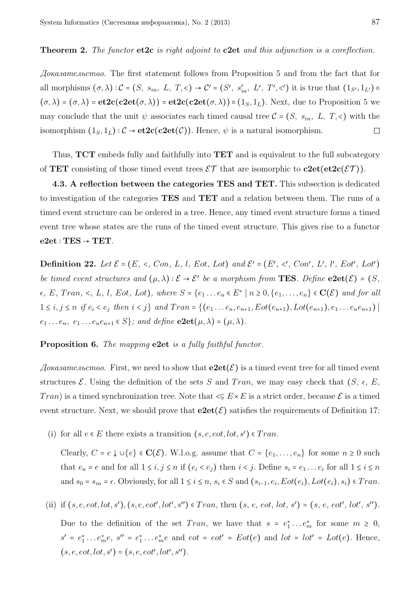## **Theorem 2.** *The functor* **et2c** *is right adjoint to* **c2et** *and this adjunction is a coreflection.*

*Доказательство.* The first statement follows from Proposition 5 and from the fact that for all morphisms  $(\sigma, \lambda): \mathcal{C} = (S, s_{in}, L, T, \leq) \to \mathcal{C}' = (S', s'_{in}, L', T', \leq')$  it is true that  $(1_{S'}, 1_{L'}) \circ$  $(\sigma, \lambda) = (\sigma, \lambda) = \textbf{etc}(c2\textbf{et}(\sigma, \lambda)) = \textbf{etc}(c2\textbf{et}(\sigma, \lambda)) \circ (1_S, 1_L)$ . Next, due to Proposition 5 we may conclude that the unit  $\psi$  associates each timed causal tree  $\mathcal{C} = (S, s_{in}, L, T, \leq)$  with the isomorphism  $(1_S, 1_L)$ :  $C \rightarrow et2c(c2et(C))$ . Hence,  $\psi$  is a natural isomorphism.  $\Box$ 

Thus, **TCT** embeds fully and faithfully into **TET** and is equivalent to the full subcategory of **TET** consisting of those timed event trees  $\mathcal{ET}$  that are isomorphic to  $c2et(\text{et}2c(\mathcal{ET}))$ .

**4.3. A reflection between the categories TES and TET.** This subsection is dedicated to investigation of the categories **TES** and **TET** and a relation between them. The runs of a timed event structure can be ordered in a tree. Hence, any timed event structure forms a timed event tree whose states are the runs of the timed event structure. This gives rise to a functor  $e2et : TEST \rightarrow TET$ .

**Definition 22.** Let  $\mathcal{E} = (E, \prec, Con, L, l, Eot, Lot)$  and  $\mathcal{E}' = (E', \prec', Con', L', l', Eot', Lot')$ *be timed event structures and*  $(\mu, \lambda) : \mathcal{E} \to \mathcal{E}'$  *be a morphism from* **TES***. Define*  $e^{2}e^{i}(\mathcal{E}) = (S, \lambda)$  $\epsilon$ , E, Tran,  $\epsilon$ , L, l, Eot, Lot), where  $S = \{e_1 \dots e_n \in E^* \mid n \ge 0, \{e_1, \dots, e_n\} \in \mathbf{C}(\mathcal{E})\}$  and for all  $1 \leq i, j \leq n$  if  $e_i < e_j$  then  $i < j$  and  $Tran = \{(e_1 \ldots e_n, e_{n+1}, Eot(e_{n+1}), Lot(e_{n+1}), e_1 \ldots e_ne_{n+1})\}$  $e_1 \ldots e_n, e_1 \ldots e_n e_{n+1} \in S$ ; and define  $\mathbf{e2et}(\mu, \lambda) = (\mu, \lambda)$ .

**Proposition 6.** *The mapping* **e2et** *is a fully faithful functor.*

 $\Delta$ *Dokasame.nocmso.* First, we need to show that  $e2e^{i\theta}$  is a timed event tree for all timed event structures  $\mathcal{E}$ . Using the definition of the sets *S* and *Tran*, we may easy check that  $(S, \epsilon, E,$ *Tran*) is a timed synchronization tree. Note that  $\leq E \times E$  is a strict order, because  $\mathcal{E}$  is a timed event structure. Next, we should prove that  $e2et(\mathcal{E})$  satisfies the requirements of Definition 17:

(i) for all  $e \in E$  there exists a transition  $(s, e, \text{cot}, \text{lot}, s') \in Tran$ .

Clearly,  $C = e \downarrow ∪ \lbrace e \rbrace \in \mathbf{C}(\mathcal{E})$ . W.l.o.g. assume that  $C = \lbrace e_1, \ldots, e_n \rbrace$  for some  $n ≥ 0$  such that  $e_n = e$  and for all  $1 \le i, j \le n$  if  $(e_i < e_j)$  then  $i < j$ . Define  $s_i = e_1 \dots e_i$  for all  $1 \le i \le n$ and  $s_0 = s_{in} = \epsilon$ . Obviously, for all  $1 \le i \le n$ ,  $s_i \in S$  and  $(s_{i-1}, e_i, Eot(e_i), Lot(e_i), s_i) \in Tran$ .

(ii) if  $(s, e, eot, lot, s')$ ,  $(s, e, eot', lot', s'') \in Tran$ , then  $(s, e, eot, lot, s') = (s, e, eot', lot', s'')$ .

Due to the definition of the set *Tran*, we have that  $s = e_1^* \dots e_m^*$  for some  $m \geq 0$ ,  $s' = e_1^* \dots e_m^* e$ ,  $s'' = e_1^* \dots e_m^* e$  and  $eot = eot' = Eot(e)$  and  $lot = lot' = Lot(e)$ . Hence,  $(s, e, eot, lot, s') = (s, e, eot', lot', s'').$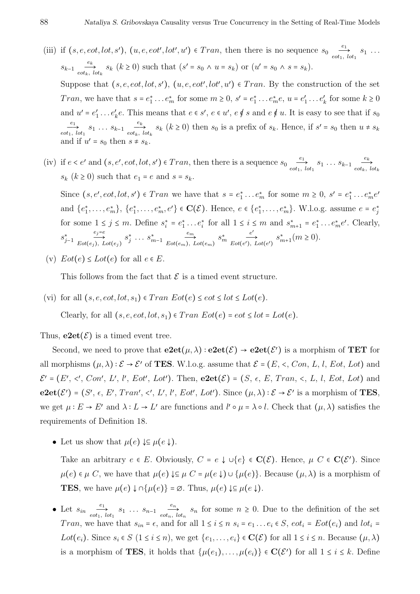- (iii) if  $(s, e, \text{cot}, \text{lot}, s')$ ,  $(u, e, \text{cot}', \text{lot}', u') \in Tran$ , then there is no sequence  $s_0 \frac{e_1}{\text{cot}_1}$  $\overrightarrow{c_1}$ ,  $\overrightarrow{b_1}$   $\overrightarrow{s_1}$   $\cdots$ *s*<sup>*k*−1</sup> *e*<sup>*ek*</sup>  $\underset{e \circ t_k}{\xrightarrow{e_k}} s_k$  ( $k \ge 0$ ) such that  $(s' = s_0 \land u = s_k)$  or  $(u' = s_0 \land s = s_k)$ . Suppose that  $(s, e, \text{cot}, \text{lot}, s')$ ,  $(u, e, \text{cot}', \text{lot}', u') \in Tran$ . By the construction of the set Tran, we have that  $s = e_1^* \dots e_m^*$  for some  $m \ge 0$ ,  $s' = e_1^* \dots e_m^* e$ ,  $u = e'_1 \dots e'_k$  for some  $k \ge 0$ and  $u' = e'_1 \dots e'_k e$ . This means that  $e \in s'$ ,  $e \in u'$ ,  $e \notin s$  and  $e \notin u$ . It is easy to see that if  $s_0$ *e*1  $\overrightarrow{e_1}$   $s_1 \ldots s_{k-1}$   $\overrightarrow{e_k}$ <br>*eot<sub>k</sub>*, *lot*<sub>1</sub>  $\frac{\partial}{\partial s}$   $s_k$  ( $k \ge 0$ ) then  $s_0$  is a prefix of  $s_k$ . Hence, if  $s' = s_0$  then  $u \ne s_k$ and if  $u' = s_0$  then  $s \neq s_k$ .
- (iv) if  $e < e'$  and  $(s, e', eot, lot, s') \in Tran$ , then there is a sequence  $s_0 \frac{e_1}{eot_1}$  $\overrightarrow{e_1}$  *s*<sub>1</sub> *...*  $s_{k-1}$  *e*<sup>*k*</sup><sub>*k*</sub></sub>  $\overrightarrow{cot_k}$ ,  $\overrightarrow{lot_k}$ *s*<sub>*k*</sub> ( $k \ge 0$ ) such that  $e_1 = e$  and  $s = s_k$ .

Since  $(s, e', \text{eot}, \text{lot}, s') \in Tran$  we have that  $s = e_1^* \dots e_m^*$  for some  $m \geq 0$ ,  $s' = e_1^* \dots e_m^* e'$ and  $\{e_1^*,\ldots,e_m^*\},\, \{e_1^*,\ldots,e_m^*,e'\}\in \mathbf{C}(\mathcal{E})$ . Hence,  $e\in\{e_1^*,\ldots,e_m^*\}$ . W.l.o.g. assume  $e=e_j^*$ for some  $1 \leq j \leq m$ . Define  $s_i^* = e_1^* \dots e_i^*$  for all  $1 \leq i \leq m$  and  $s_{m+1}^* = e_1^* \dots e_m^* e'$ . Clearly, *s* ∗ *j*−1 *ej*=*e*  $Eot(e_j)$ ,  $Lot(e_j)$  $s_j^*$  ...  $s_{m-1}^*$ *em* $Eot(e_m)$ ,  $Lot(e_m)$ *s* ∗ *m e* ′  $Eot(e'), Lot(e')$  $s_{m+1}^*(m \ge 0)$ .

(v)  $Eot(e) \leq Lot(e)$  for all  $e \in E$ .

This follows from the fact that  $\mathcal E$  is a timed event structure.

(vi) for all  $(s, e, \text{cot}, \text{lot}, s_1) \in Tran \; Eot(e) \leq \text{cot} \leq \text{lot} \leq \text{Lot}(e)$ . Clearly, for all  $(s, e, \text{cot}, \text{lot}, s_1) \in Tran \; Eot(e) = \text{cot} \leq \text{lot} = \text{Lot}(e)$ .

Thus,  $e2et(\mathcal{E})$  is a timed event tree.

Second, we need to prove that  $e2et(\mu, \lambda) : e2et(\mathcal{E}) \to e2et(\mathcal{E}')$  is a morphism of **TET** for all morphisms  $(\mu, \lambda) : \mathcal{E} \to \mathcal{E}'$  of **TES**. W.l.o.g. assume that  $\mathcal{E} = (E, \le, Con, L, l, Eot, Lot)$  and  $\mathcal{E}' = (E', \langle', \text{Con}', L', l', \text{Eot}', \text{Lot}')$ . Then,  $\mathbf{e2et}(\mathcal{E}) = (S, \epsilon, E, \text{Tran}, \langle, L, l, \text{Eot}, \text{Lot})$  and  $\mathbf{e2et}(\mathcal{E}') = (S', \epsilon, E', Tran', \prec', L', l', Eot', Lot')$ . Since  $(\mu, \lambda) : \mathcal{E} \to \mathcal{E}'$  is a morphism of **TES**, we get  $\mu : E \to E'$  and  $\lambda : L \to L'$  are functions and  $l' \circ \mu = \lambda \circ l$ . Check that  $(\mu, \lambda)$  satisfies the requirements of Definition 18.

• Let us show that  $\mu(e) \downarrow \subseteq \mu(e \downarrow)$ .

Take an arbitrary  $e \in E$ . Obviously,  $C = e \downarrow \cup \{e\} \in \mathbf{C}(\mathcal{E})$ . Hence,  $\mu \ C \in \mathbf{C}(\mathcal{E}')$ . Since *µ*(*e*) ∈ *µ C*, we have that  $\mu(e) \downarrow \subseteq \mu$  *C* =  $\mu(e \downarrow) \cup \{\mu(e)\}\$ . Because  $(\mu, \lambda)$  is a morphism of **TES**, we have  $\mu(e) \downarrow \cap \{\mu(e)\} = \emptyset$ . Thus,  $\mu(e) \downarrow \subseteq \mu(e \downarrow)$ .

• Let  $s_{in}$   $\frac{e_1}{e}$  $\overrightarrow{e_1}$   $s_1 \ldots s_{n-1}$   $\overrightarrow{e_n}$ <br>*eot*<sub>n</sub>, *lot*<sub>1</sub>  $\frac{e_n}{\epsilon}$  *s<sub>n</sub>* for some  $n \geq 0$ . Due to the definition of the set *Tran*, we have that  $s_{in} = \epsilon$ , and for all  $1 \leq i \leq n$   $s_i = e_1 \ldots e_i \in S$ ,  $\epsilon \circ t_i = \epsilon t(e_i)$  and  $\epsilon t_i = \epsilon$ *Lot*(*e<sub>i</sub>*). Since  $s_i \in S$  (1 ≤ *i* ≤ *n*), we get {*e*<sub>1</sub>, . . . , *e<sub>i</sub>*}  $\in$  **C**(*E*) for all 1 ≤ *i* ≤ *n*. Because (*µ*,  $\lambda$ ) is a morphism of **TES**, it holds that  $\{\mu(e_1), \ldots, \mu(e_i)\} \in \mathbf{C}(\mathcal{E}')$  for all  $1 \le i \le k$ . Define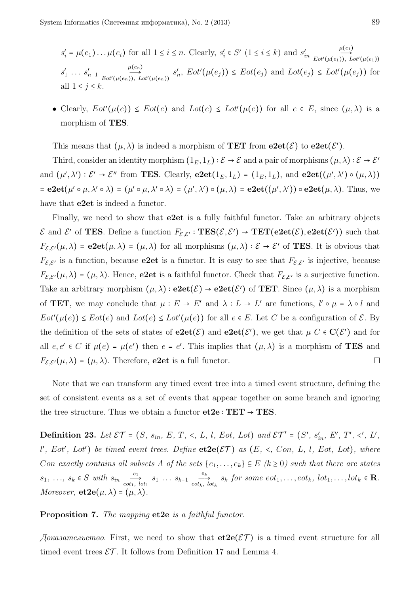$s_i' = \mu(e_1) \dots \mu(e_i)$  for all  $1 \le i \le n$ . Clearly,  $s_i' \in S'$   $(1 \le i \le k)$  and  $s_{in}'$  $\mu(e_1)$  $Eot'(\mu(e_1)), \ Lot'(\mu(e_1))$  $s'_1 \ldots s'_{n-1}$ *µ*(*en*)  $Eot'(\mu(e_n)), \ Lot'(\mu(e_n))$  $s'_n$ ,  $Eot(\mu(e_j)) \le Eot(e_j)$  and  $Lot(e_j) \le Lot'(\mu(e_j))$  for all  $1 \leq i \leq k$ 

• Clearly,  $Eot'(\mu(e)) \le Eot(e)$  and  $Lot(e) \le Lot'(\mu(e))$  for all  $e \in E$ , since  $(\mu, \lambda)$  is a morphism of **TES**.

This means that  $(\mu, \lambda)$  is indeed a morphism of **TET** from  $e2et(\mathcal{E})$  to  $e2et(\mathcal{E}')$ .

Third, consider an identity morphism  $(1_E, 1_L) : \mathcal{E} \to \mathcal{E}$  and a pair of morphisms  $(\mu, \lambda) : \mathcal{E} \to \mathcal{E}'$ and  $(\mu', \lambda') : \mathcal{E}' \to \mathcal{E}''$  from **TES**. Clearly,  $\mathbf{e2et}(1_E, 1_L) = (1_E, 1_L)$ , and  $\mathbf{e2et}((\mu', \lambda') \circ (\mu, \lambda))$  $=$ **e2et**( $\mu' \circ \mu, \lambda' \circ \lambda$ ) = ( $\mu' \circ \mu, \lambda' \circ \lambda$ ) = ( $\mu', \lambda'$ )  $\circ$  ( $\mu, \lambda$ ) = **e2et**( $(\mu', \lambda')$ )  $\circ$ **e2et**( $\mu, \lambda$ ). Thus, we have that **e2et** is indeed a functor.

Finally, we need to show that **e2et** is a fully faithful functor. Take an arbitrary objects Effect and E<sup>t</sup> of **TES**. Define a function  $F_{\mathcal{E},\mathcal{E}'} : \mathbf{TES}(\mathcal{E},\mathcal{E}') \to \mathbf{TET}(\mathbf{e2et}(\mathcal{E}),\mathbf{e2et}(\mathcal{E}'))$  such that  $F_{\mathcal{E},\mathcal{E}'}(\mu,\lambda) = \mathbf{e2et}(\mu,\lambda) = (\mu,\lambda)$  for all morphisms  $(\mu,\lambda) : \mathcal{E} \to \mathcal{E}'$  of **TES**. It is obvious that  $F_{\mathcal{E},\mathcal{E}'}$  is a function, because **e2et** is a functor. It is easy to see that  $F_{\mathcal{E},\mathcal{E}'}$  is injective, because  $F_{\mathcal{E},\mathcal{E}'}(\mu,\lambda) = (\mu,\lambda)$ . Hence, **e2et** is a faithful functor. Check that  $F_{\mathcal{E},\mathcal{E}'}$  is a surjective function. Take an arbitrary morphism  $(\mu, \lambda) :$  **e2et** $(\mathcal{E}) \to$  **e2et** $(\mathcal{E}')$  of **TET**. Since  $(\mu, \lambda)$  is a morphism of **TET**, we may conclude that  $\mu : E \to E'$  and  $\lambda : L \to L'$  are functions,  $l' \circ \mu = \lambda \circ l$  and  $Eot'(\mu(e)) \le Eot(e)$  and  $Lot(e) \le Lot'(\mu(e))$  for all  $e \in E$ . Let *C* be a configuration of  $\mathcal{E}$ . By the definition of the sets of states of  $e2et(\mathcal{E})$  and  $e2et(\mathcal{E}')$ , we get that  $\mu C \in \mathbf{C}(\mathcal{E}')$  and for all  $e, e' \in C$  if  $\mu(e) = \mu(e')$  then  $e = e'$ . This implies that  $(\mu, \lambda)$  is a morphism of **TES** and  $F_{\mathcal{E},\mathcal{E}'}(\mu,\lambda) = (\mu,\lambda)$ . Therefore, **e2et** is a full functor.  $\Box$ 

Note that we can transform any timed event tree into a timed event structure, defining the set of consistent events as a set of events that appear together on some branch and ignoring the tree structure. Thus we obtain a functor  $et2e : TET \rightarrow TES$ .

**Definition 23.** Let  $\mathcal{ET} = (S, s_{in}, E, T, \langle, L, l, Eot, Lot) \text{ and } \mathcal{ET}' = (S', s'_{in}, E', T', \langle, L', L, L', L', T', \langle, L', L', T', \rangle)$  $l', Eot', Lot'$ ) be timed event trees. Define  $e$ **t2** $e$  $(\mathcal{ET})$  as  $(E, \langle , Con, L, l, Eot, Lot)$ , where *Con exactly contains all subsets A of the sets*  $\{e_1, \ldots, e_k\} \subseteq E$   $(k \ge 0)$  *such that there are states s*<sub>1</sub>*, ..., s*<sub>*k*</sub> ∈ *S with s*<sub>*in*</sub>  $\frac{e_1}{e_2}$  $\overrightarrow{e_1}$   $s_1 \ldots s_{k-1}$   $\overrightarrow{e_k}$ <br>*eot<sub>k</sub>*, *lot*<sub>1</sub>  $\underset{\text{code}_{k, l}}{\overset{\sim}{\longrightarrow}} s_k$  *for some eot*<sub>1</sub>*,...,eot*<sub>k</sub>*, lot*<sub>1</sub>*,...,lot*<sub>k</sub>  $\in \mathbb{R}$ *. Moreover,* **et2e**( $\mu$ , $\lambda$ ) = ( $\mu$ , $\lambda$ )

### **Proposition 7.** *The mapping* **et2e** *is a faithful functor.*

 $\Delta\alpha$  *Доказательство*. First, we need to show that  $\text{et}2\text{e}(\mathcal{E}\mathcal{T})$  is a timed event structure for all timed event trees  $\mathcal{ET}$ . It follows from Definition 17 and Lemma 4.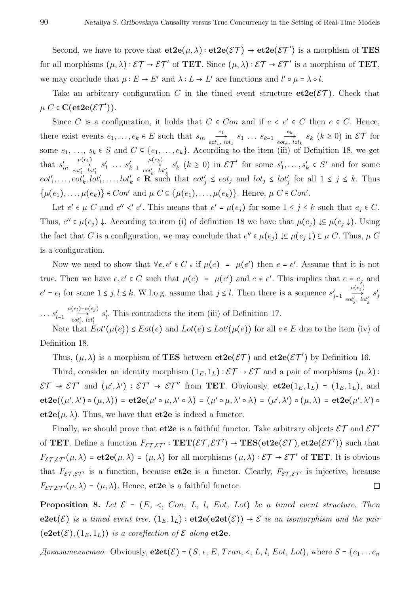Second, we have to prove that  $et2e(\mu, \lambda) : et2e(\mathcal{ET}) \rightarrow et2e(\mathcal{ET}')$  is a morphism of TES for all morphisms  $(\mu, \lambda) : \mathcal{ET} \to \mathcal{ET}'$  of **TET**. Since  $(\mu, \lambda) : \mathcal{ET} \to \mathcal{ET}'$  is a morphism of **TET**, we may conclude that  $\mu : E \to E'$  and  $\lambda : L \to L'$  are functions and  $l' \circ \mu = \lambda \circ l$ .

Take an arbitrary configuration *C* in the timed event structure  $et2e(\mathcal{ET})$ . Check that  $\mu$  *C*  $\in$  **C**(**et2e**( $\mathcal{E}\mathcal{T}'$ )).

Since *C* is a configuration, it holds that  $C \in Con$  and if  $e < e' \in C$  then  $e \in C$ . Hence, there exist events  $e_1, \ldots, e_k \in E$  such that  $s_{in} \frac{e_1}{\epsilon_1}$  $\overrightarrow{e_1}$   $s_1 \dots s_{k-1}$   $\overrightarrow{e_k}$ <br>*eot<sub>k</sub>*, *lot*<sub>1</sub>  $\underset{e \circ t_k, \, l \circ t_k}{\longrightarrow} s_k \, (k \geq 0) \text{ in } \mathcal{ET} \text{ for }$ some  $s_1, \ldots, s_k \in S$  and  $C \subseteq \{e_1, \ldots, e_k\}$ . According to the item (iii) of Definition 18, we get that  $s'_{in}$  $\mu(e_1)$  $\overrightarrow{cot'_1, tot'_1}$  $s'_1 \; \ldots \; s'_{k-1}$  $\mu(e_k)$  $\overrightarrow{cot'_k, tot'_k}$  $s'_{k}$  ( $k \ge 0$ ) in  $\mathcal{E} \mathcal{T}'$  for some  $s'_{1}, \ldots, s'_{k} \in S'$  and for some  $eot'_1,\ldots,eot'_k,lot'_1,\ldots,lot'_k \in \mathbf{R}$  such that  $eot'_j \leq eot_j$  and  $lot_j \leq lot'_j$  for all  $1 \leq j \leq k$ . Thus { $\mu(e_1), \ldots, \mu(e_k)$ } ∈ *Con'* and  $\mu$  *C* ⊆ { $\mu(e_1), \ldots, \mu(e_k)$ }. Hence,  $\mu$  *C* ∈ *Con'*.

Let  $e' \in \mu$  C and  $e'' \le e'$ . This means that  $e' = \mu(e_j)$  for some  $1 \le j \le k$  such that  $e_j \in C$ . Thus,  $e'' \in \mu(e_j) \downarrow$ . According to item (i) of definition 18 we have that  $\mu(e_j) \downarrow \subseteq \mu(e_j \downarrow)$ . Using the fact that *C* is a configuration, we may conclude that  $e'' \in \mu(e_j) \downarrow \subseteq \mu(e_j \downarrow) \subseteq \mu$  *C*. Thus,  $\mu$  *C* is a configuration.

Now we need to show that  $\forall e, e' \in C \cdot \text{if } \mu(e) = \mu(e')$  then  $e = e'$ . Assume that it is not true. Then we have  $e, e' \in C$  such that  $\mu(e) = \mu(e')$  and  $e \neq e'$ . This implies that  $e = e_j$  and *e*<sup> $'$ </sup> = *e*<sup>*l*</sup> for some 1 ≤ *j*,*l* ≤ *k*. W.l.o.g. assume that *j* ≤ *l*. Then there is a sequence  $s'_{j-1}$  $\mu(e_j)$  $\overrightarrow{cot'_j}, \overrightarrow{lot'_j}$ *s* ′ *j*  $\cdots s'_{l-1}$  $\mu(e_l) = \mu(e_j)$  $\overrightarrow{cot'_l, lot'_l}$  $s'_{l}$ . This contradicts the item (iii) of Definition 17.

Note that  $Eot'(\mu(e)) \le Eot(e)$  and  $Lot(e) \le Lot'(\mu(e))$  for all  $e \in E$  due to the item (iv) of Definition 18.

Thus,  $(\mu, \lambda)$  is a morphism of **TES** between  $\textbf{et2e}(\mathcal{ET})$  and  $\textbf{et2e}(\mathcal{ET}')$  by Definition 16.

Third, consider an identity morphism  $(1_E, 1_L) : \mathcal{ET} \to \mathcal{ET}$  and a pair of morphisms  $(\mu, \lambda)$ :  $\mathcal{E}\mathcal{T} \to \mathcal{E}\mathcal{T}'$  and  $(\mu', \lambda') : \mathcal{E}\mathcal{T}' \to \mathcal{E}\mathcal{T}''$  from **TET**. Obviously,  $\mathbf{et2e}(1_E, 1_L) = (1_E, 1_L)$ , and  $\mathbf{et2e}((\mu',\lambda')\circ (\mu,\lambda)) = \mathbf{et2e}(\mu'\circ \mu,\lambda'\circ \lambda) = (\mu'\circ \mu,\lambda'\circ \lambda) = (\mu',\lambda')\circ (\mu,\lambda) = \mathbf{et2e}(\mu',\lambda')\circ$ **et2e**( $\mu$ ,  $\lambda$ ). Thus, we have that **et2e** is indeed a functor.

Finally, we should prove that **et2e** is a faithful functor. Take arbitrary objects  $\mathcal{ET}$  and  $\mathcal{ET}'$ of **TET**. Define a function  $F_{\mathcal{ET}, \mathcal{ET'}} : \mathbf{TET}(\mathcal{ET}, \mathcal{ET}') \rightarrow \mathbf{TES}(\mathbf{et2e}(\mathcal{ET}), \mathbf{et2e}(\mathcal{ET}'))$  such that  $F_{\mathcal{ET}, \mathcal{ET}}(\mu, \lambda) = \mathbf{et2e}(\mu, \lambda) = (\mu, \lambda)$  for all morphisms  $(\mu, \lambda) : \mathcal{ET} \to \mathcal{ET}'$  of **TET**. It is obvious that  $F_{\mathcal{E} \mathcal{T}, \mathcal{E} \mathcal{T}'}$  is a function, because **et2e** is a functor. Clearly,  $F_{\mathcal{E} \mathcal{T}, \mathcal{E} \mathcal{T}'}$  is injective, because  $F_{\mathcal{E} \mathcal{T}, \mathcal{E} \mathcal{T}'}(\mu, \lambda) = (\mu, \lambda)$ . Hence, **et2e** is a faithful functor.  $\Box$ 

**Proposition 8.** *Let*  $\mathcal{E} = (E, \prec, Con, L, l, Eot, Lot)$  *be a timed event structure. Then* **e2et**(E) *is a timed event tree,*  $(1_E, 1_L)$  **: et2e(e2et**(E))  $\rightarrow$  E *is an isomorphism and the pair*  $(e2et(\mathcal{E}), (1_E, 1_L))$  *is a coreflection of*  $\mathcal E$  *along* **et2e***.* 

 $\Lambda$ *okasamentialisation*  $\Lambda$  *body Dividualy,*  $\mathbf{e2et}(\mathcal{E}) = (S, \epsilon, E, Tran, \prec, L, l, Eot, Lot)$ *, where*  $S = \{e_1 \dots e_n\}$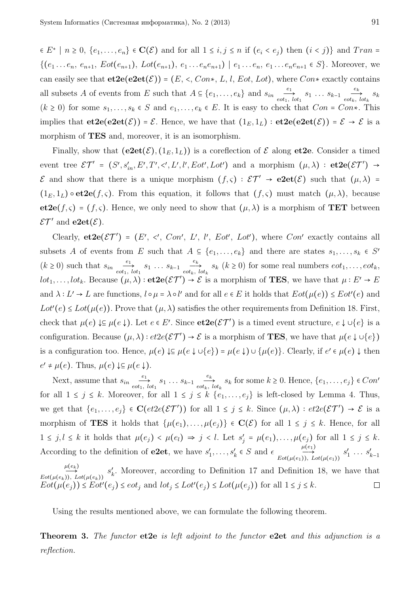$\in E^* \mid n \geq 0, \{e_1, \ldots, e_n\} \in \mathbf{C}(\mathcal{E})$  and for all  $1 \leq i, j \leq n$  if  $(e_i \leq e_j)$  then  $(i \leq j)$ } and  $Tran =$  $\{(e_1...e_n, e_{n+1}, Eot(e_{n+1}), Lot(e_{n+1}), e_1...e_ne_{n+1}) | e_1...e_n, e_1...e_ne_{n+1} \in S\}.$  Moreover, we can easily see that  $et2e(e2et(\mathcal{E})) = (E, \langle \cdot, \text{Con*}, L, l, \text{Eot}, \text{Lot}\rangle)$ , where  $Con*$  exactly contains all subsets *A* of events from *E* such that  $A \subseteq \{e_1, \ldots, e_k\}$  and  $s_{in} \underbrace{e_1, \ldots, e_k}_{\text{eot}_1}$  $\overrightarrow{e_1}$   $s_1 \dots s_{k-1}$   $\overrightarrow{e_k}$ <br>*eot<sub>k</sub>*, *lot*<sub>1</sub>  $\overrightarrow{c_k}$   $s_k$  $(k \ge 0)$  for some  $s_1, \ldots, s_k \in S$  and  $e_1, \ldots, e_k \in E$ . It is easy to check that  $Con = Con*$ . This implies that  $et2e(e2et(\mathcal{E})) = \mathcal{E}$ . Hence, we have that  $(1_E, 1_L) : et2e(e2et(\mathcal{E})) = \mathcal{E} \rightarrow \mathcal{E}$  is a morphism of **TES** and, moreover, it is an isomorphism.

Finally, show that  $(e2et(\mathcal{E}), (1_E, 1_L))$  is a coreflection of  $\mathcal E$  along et 2e. Consider a timed event tree  $\mathcal{ET}' = (S', s'_{in}, E', T', <', L', l', Eot', Lot')$  and a morphism  $(\mu, \lambda) : \text{etc}( \mathcal{ET}') \rightarrow$ E and show that there is a unique morphism  $(f, \varsigma) : \mathcal{ET}' \to \mathbf{e2et}(\mathcal{E})$  such that  $(\mu, \lambda) =$  $(1<sub>E</sub>, 1<sub>L</sub>) \circ \textbf{et2e}(f, \varsigma)$ . From this equation, it follows that  $(f, \varsigma)$  must match  $(\mu, \lambda)$ , because **et2e**( $f, \varsigma$ ) = ( $f, \varsigma$ ). Hence, we only need to show that  $(\mu, \lambda)$  is a morphism of **TET** between  $\mathcal{E}\mathcal{T}'$  and  $\mathbf{e2et}(\mathcal{E})$ .

Clearly,  $et2e(\mathcal{ET}') = (E', \prec', Con', L', l', Eot', Lot')$ , where  $Con'$  exactly contains all subsets *A* of events from *E* such that  $A \subseteq \{e_1, \ldots, e_k\}$  and there are states  $s_1, \ldots, s_k \in S'$  $(k \geq 0)$  such that  $s_{in}$   $\frac{e_1}{\epsilon_0 t_1}$ .  $\overrightarrow{e_1}$   $s_1 \dots s_{k-1}$   $\overrightarrow{e_k}$ <br>*eot<sub>k</sub>*, *lot*<sub>1</sub>  $\frac{\partial}{\partial t_k}$ ,  $\frac{\partial}{\partial t_k}$ ,  $\frac{\partial}{\partial t_k}$  ( $k \ge 0$ ) for some real numbers  $\epsilon \circ t_1, \ldots, \epsilon \circ t_k$ , *lot*<sub>1</sub>, ...,*lot*<sub>k</sub>. Because  $(\mu, \lambda)$ : **et2e**( $\mathcal{E}\mathcal{T}'$ ) →  $\mathcal{E}$  is a morphism of **TES**, we have that  $\mu : E' \to E$ and  $\lambda: L' \to L$  are functions,  $l \circ \mu = \lambda \circ l'$  and for all  $e \in E$  it holds that  $Eot(\mu(e)) \leq Eot'(e)$  and  $Lot'(e) \leq Lot(\mu(e))$ . Prove that  $(\mu, \lambda)$  satisfies the other requirements from Definition 18. First, check that  $\mu(e) \downarrow \subseteq \mu(e \downarrow)$ . Let  $e \in E'$ . Since  $e \cdot \mathbf{C}(\mathcal{E}(\mathcal{T}'))$  is a timed event structure,  $e \downarrow \cup \{e\}$  is a configuration. Because  $(\mu, \lambda) : et2e(\mathcal{E}T') \to \mathcal{E}$  is a morphism of **TES**, we have that  $\mu(e \downarrow \cup \{e\})$ is a configuration too. Hence,  $\mu(e) \downarrow \subseteq \mu(e \downarrow \cup \{e\}) = \mu(e \downarrow) \cup \{\mu(e)\}\.$  Clearly, if  $e' \in \mu(e) \downarrow$  then  $e' \neq \mu(e)$ . Thus,  $\mu(e) \downarrow \subseteq \mu(e \downarrow)$ .

Next, assume that  $s_{in}$   $\frac{e_1}{e}$  $\overrightarrow{e_1}$  *s*<sub>1</sub> *...*  $s_{k-1}$  *e*<sup>k</sup><sub>k</sub></sub>  $\underset{e \circ b_k, \, l \circ t_k}{\longrightarrow} s_k$  for some  $k \geq 0$ . Hence,  $\{e_1, \ldots, e_j\} \in Con^{\prime}$ for all  $1 \leq j \leq k$ . Moreover, for all  $1 \leq j \leq k$  { $e_1, \ldots, e_j$ } is left-closed by Lemma 4. Thus, we get that  $\{e_1, \ldots, e_j\} \in \mathbf{C}(et2e(\mathcal{ET}'))$  for all  $1 \leq j \leq k$ . Since  $(\mu, \lambda) : et2e(\mathcal{ET}') \to \mathcal{E}$  is a morphism of **TES** it holds that  $\{\mu(e_1), \ldots, \mu(e_j)\}\in \mathbf{C}(\mathcal{E})$  for all  $1 \leq j \leq k$ . Hence, for all  $1 \leq j, l \leq k$  it holds that  $\mu(e_j) < \mu(e_l) \Rightarrow j < l$ . Let  $s'_j = \mu(e_1), \ldots, \mu(e_j)$  for all  $1 \leq j \leq k$ . According to the definition of **e2et**, we have  $s'_1, \ldots, s'_k \in S$  and  $\epsilon$   $\overset{\mu(e_1)}{\longrightarrow}$  $Eot(\mu(e_1)), Lot(\mu(e_1))$  $s'_1 \ldots s'_{k-1}$ 

 $\mu(e_k)$  $s'_{k}$ . Moreover, according to Definition 17 and Definition 18, we have that  $Eot(\mu(e_k)), Lot(\mu(e_k))$  $Eot(\mu(e_j)) \le Eot'(e_j) \le eot_j$  and  $lot_j \le Lot'(e_j) \le Lot(\mu(e_j))$  for all  $1 \le j \le k$ .  $\Box$ 

Using the results mentioned above, we can formulate the following theorem.

**Theorem 3.** *The functor* **et2e** *is left adjoint to the functor* **e2et** *and this adjunction is a reflection.*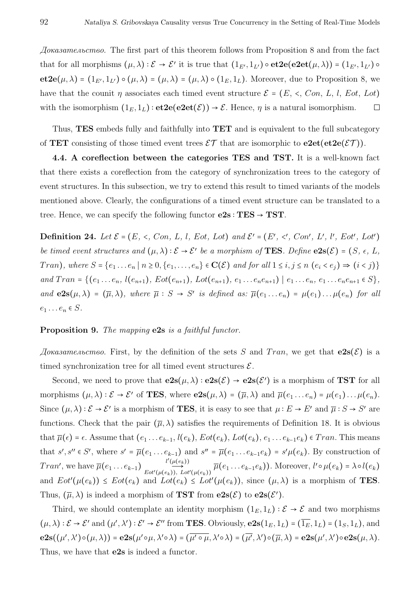*Доказательство.* The first part of this theorem follows from Proposition 8 and from the fact that for all morphisms  $(\mu, \lambda) : \mathcal{E} \to \mathcal{E}'$  it is true that  $(1_{E'}, 1_{L'}) \circ \textbf{et2e}(\textbf{e2et}(\mu, \lambda)) = (1_{E'}, 1_{L'}) \circ$ **et2e**( $\mu, \lambda$ ) = ( $1_{E'}, 1_{L'}$ )  $\circ$  ( $\mu, \lambda$ ) = ( $\mu, \lambda$ ) = ( $\mu, \lambda$ )  $\circ$  ( $1_E, 1_L$ ). Moreover, due to Proposition 8, we have that the counit  $\eta$  associates each timed event structure  $\mathcal{E} = (E, \langle \cdot, Con, L, l, Eot, Lot)$ with the isomorphism  $(1_E, 1_L) : \textbf{et2e}(\textbf{e2et}(\mathcal{E})) \to \mathcal{E}$ . Hence,  $\eta$  is a natural isomorphism.  $\Box$ 

Thus, **TES** embeds fully and faithfully into **TET** and is equivalent to the full subcategory of **TET** consisting of those timed event trees  $\mathcal{ET}$  that are isomorphic to  $e2e$ **t** $(e$ **t** $2e(\mathcal{ET})$ ).

**4.4. A coreflection between the categories TES and TST.** It is a well-known fact that there exists a coreflection from the category of synchronization trees to the category of event structures. In this subsection, we try to extend this result to timed variants of the models mentioned above. Clearly, the configurations of a timed event structure can be translated to a tree. Hence, we can specify the following functor  $e2s : TES \rightarrow TST$ .

**Definition 24.** Let  $\mathcal{E} = (E, \prec, Con, L, l, Eot, Lot)$  and  $\mathcal{E}' = (E', \prec', Con', L', l', Eot', Lot')$ *be timed event structures and*  $(\mu, \lambda) : \mathcal{E} \to \mathcal{E}'$  *be a morphism of* **TES***. Define*  $e2s(\mathcal{E}) = (S, \epsilon, L, \epsilon)$ Tran), where  $S = \{e_1 \dots e_n \mid n \ge 0, \{e_1, \dots, e_n\} \in \mathbf{C}(\mathcal{E})\}$  and for all  $1 \le i, j \le n \ (e_i \le e_j) \Rightarrow (i \le j) \}$ and  $Tran = \{ (e_1 \ldots e_n, l(e_{n+1}), Eot(e_{n+1}), Lot(e_{n+1}), e_1 \ldots e_ne_{n+1}) | e_1 \ldots e_n, e_1 \ldots e_ne_{n+1} \in S \},$ and  $e2s(\mu,\lambda) = (\overline{\mu},\lambda)$ , where  $\overline{\mu}: S \to S'$  is defined as:  $\overline{\mu}(e_1 \ldots e_n) = \mu(e_1) \ldots \mu(e_n)$  for all  $e_1 \ldots e_n \in S$ .

## **Proposition 9.** *The mapping* **e2s** *is a faithful functor.*

Доказательство. First, by the definition of the sets *S* and *Tran*, we get that  $e2s(\mathcal{E})$  is a timed synchronization tree for all timed event structures  $\mathcal{E}$ .

Second, we need to prove that  $e2s(\mu, \lambda) : e2s(\mathcal{E}) \to e2s(\mathcal{E}')$  is a morphism of **TST** for all morphisms  $(\mu, \lambda) : \mathcal{E} \to \mathcal{E}'$  of **TES**, where  $e2s(\mu, \lambda) = (\overline{\mu}, \lambda)$  and  $\overline{\mu}(e_1 \dots e_n) = \mu(e_1) \dots \mu(e_n)$ . Since  $(\mu, \lambda) : \mathcal{E} \to \mathcal{E}'$  is a morphism of **TES**, it is easy to see that  $\mu : E \to E'$  and  $\overline{\mu} : S \to S'$  are functions. Check that the pair  $(\overline{\mu}, \lambda)$  satisfies the requirements of Definition 18. It is obvious that  $\overline{\mu}(\epsilon) = \epsilon$ . Assume that  $(e_1 \ldots e_{k-1}, l(e_k), Eot(e_k), Lot(e_k), e_1 \ldots e_{k-1}e_k) \in Tran$ . This means that  $s', s'' \in S'$ , where  $s' = \overline{\mu}(e_1 \dots e_{k-1})$  and  $s'' = \overline{\mu}(e_1 \dots e_{k-1}e_k) = s'\mu(e_k)$ . By construction of<br>  $Tran'$  we have  $\overline{\mu}(e_k) = s'(\mu(e_k)) = \overline{\mu}(e_k \dots e_k e_k)$ . Moreover  $\mu(s)(s) = \lambda s l(s)$ Tran', we have  $\overline{\mu}(e_1 \ldots e_{k-1})$   $\overrightarrow{E_{\text{tot}}(\mu(e_k))}$ ,  $\overrightarrow{\mu}(e_1 \ldots e_{k-1}e_k)$ . Moreover,  $l' \circ \mu(e_k) = \lambda \circ l(e_k)$ and  $Eot'(\mu(e_k)) \le Eot(e_k)$  and  $Lot(e_k) \le Lot'(\mu(e_k))$ , since  $(\mu, \lambda)$  is a morphism of **TES**. Thus,  $(\overline{\mu}, \lambda)$  is indeed a morphism of **TST** from  $e2s(\mathcal{E})$  to  $e2s(\mathcal{E}')$ .

Third, we should contemplate an identity morphism  $(1_E, 1_L) : \mathcal{E} \to \mathcal{E}$  and two morphisms  $(\mu, \lambda) : \mathcal{E} \to \mathcal{E}'$  and  $(\mu', \lambda') : \mathcal{E}' \to \mathcal{E}''$  from **TES**. Obviously,  $e2s(1_E, 1_L) = (\overline{1_E}, 1_L) = (1_S, 1_L)$ , and  $e2s((\mu', \lambda')\circ (\mu, \lambda)) = e2s(\mu'\circ \mu, \lambda'\circ \lambda) = (\overline{\mu'\circ \mu}, \lambda'\circ \lambda) = (\overline{\mu'}, \lambda')\circ (\overline{\mu}, \lambda) = e2s(\mu', \lambda')\circ e2s(\mu, \lambda).$ Thus, we have that **e2s** is indeed a functor.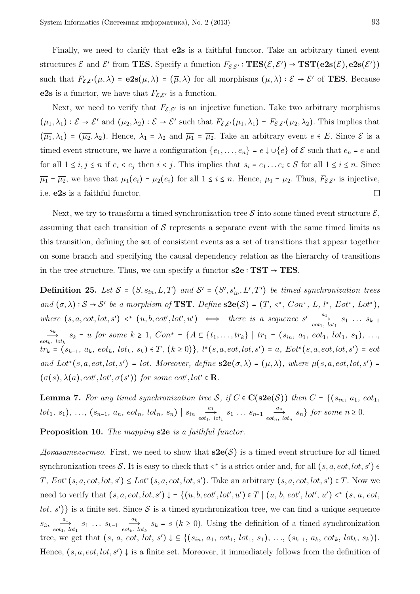Finally, we need to clarify that **e2s** is a faithful functor. Take an arbitrary timed event structures  $\mathcal{E}$  and  $\mathcal{E}'$  from **TES**. Specify a function  $F_{\mathcal{E},\mathcal{E}'} : \mathbf{TES}(\mathcal{E}, \mathcal{E}') \to \mathbf{TST}(\mathbf{e2s}(\mathcal{E}), \mathbf{e2s}(\mathcal{E}'))$ such that  $F_{\mathcal{E},\mathcal{E}'}(\mu,\lambda) = e2s(\mu,\lambda) = (\overline{\mu},\lambda)$  for all morphisms  $(\mu,\lambda): \mathcal{E} \to \mathcal{E}'$  of **TES**. Because **e2s** is a functor, we have that  $F_{\mathcal{E}, \mathcal{E}'}$  is a function.

Next, we need to verify that  $F_{\mathcal{E},\mathcal{E}'}$  is an injective function. Take two arbitrary morphisms  $(\mu_1, \lambda_1) : \mathcal{E} \to \mathcal{E}'$  and  $(\mu_2, \lambda_2) : \mathcal{E} \to \mathcal{E}'$  such that  $F_{\mathcal{E}, \mathcal{E}'}(\mu_1, \lambda_1) = F_{\mathcal{E}, \mathcal{E}'}(\mu_2, \lambda_2)$ . This implies that  $(\overline{\mu_1}, \lambda_1) = (\overline{\mu_2}, \lambda_2)$ . Hence,  $\lambda_1 = \lambda_2$  and  $\overline{\mu_1} = \overline{\mu_2}$ . Take an arbitrary event  $e \in E$ . Since  $\mathcal E$  is a timed event structure, we have a configuration  $\{e_1, \ldots, e_n\} = e \downarrow \cup \{e\}$  of  $\mathcal E$  such that  $e_n = e$  and for all  $1 \le i, j \le n$  if  $e_i < e_j$  then  $i < j$ . This implies that  $s_i = e_1 \dots e_i \in S$  for all  $1 \le i \le n$ . Since  $\overline{\mu_1} = \overline{\mu_2}$ , we have that  $\mu_1(e_i) = \mu_2(e_i)$  for all  $1 \le i \le n$ . Hence,  $\mu_1 = \mu_2$ . Thus,  $F_{\mathcal{E}, \mathcal{E}'}$  is injective, i.e. **e2s** is a faithful functor.  $\Box$ 

Next, we try to transform a timed synchronization tree S into some timed event structure  $\mathcal{E}$ , assuming that each transition of  $\mathcal S$  represents a separate event with the same timed limits as this transition, defining the set of consistent events as a set of transitions that appear together on some branch and specifying the causal dependency relation as the hierarchy of transitions in the tree structure. Thus, we can specify a functor  $s2e : TST \rightarrow TES$ .

**Definition 25.** Let  $S = (S, s_{in}, L, T)$  and  $S' = (S', s'_{in}, L', T')$  be timed synchronization trees and  $(\sigma, \lambda): \mathcal{S} \to \mathcal{S}'$  be a morphism of **TST**. Define  $s2e(\mathcal{S}) = (T, \langle \cdot, \cdot, \text{Con}^*, L, l^*, \text{Eot}^*, \text{Lot}^*),$ *where*  $(s, a, \text{cot}, \text{lot}, s') \leq (u, b, \text{cot}', \text{lot}', u') \iff \text{there is a sequence } s' \text{ and } s \text{.}$  $\overrightarrow{a_1}$  *s*<sub>1</sub> *... s*<sub>*k*-1</sub> *eot*<sub>1</sub>*, lot*<sub>1</sub> *ak*  $\frac{d}{\partial t_k}$ ,  $s_k = u$  for some  $k \geq 1$ ,  $Con^* = \{A \subseteq \{t_1, \ldots, t_{k}\} \mid tr_1 = (s_{in}, a_1, \text{ } \text{cot}_1, \text{ } \text{lot}_1, \text{ } s_1), \ldots,$  $tr_k = (s_{k-1}, a_k, \, \text{cot}_k, \, \text{lot}_k, \, s_k) \in T, \, (k \ge 0) \}, \, l^*(s, a, \text{cot}, \text{lot}, s') = a, \, Eot^*(s, a, \text{cot}, \text{lot}, s') = \text{cot}$ *and*  $Lot*(s, a, eot, lot, s') = lot$ *. Moreover, define*  $s2e(\sigma, \lambda) = (\mu, \lambda)$ *, where*  $\mu(s, a, eot, lot, s') =$  $(\sigma(s), \lambda(a), \text{eot}', \text{lot}', \sigma(s'))$  for some  $\text{eot}', \text{lot}' \in \mathbb{R}$ *.* 

**Lemma 7.** For any timed synchronization tree S, if  $C \in C(\textbf{S2e}(S))$  then  $C = \{ (s_{in}, a_1, \text{cot}_1, \text{cot}_2, \text{cot}_2, \text{cot}_2, \text{cot}_2, \text{cot}_2, \text{cot}_2, \text{cot}_2, \text{cot}_2, \text{cot}_2, \text{cot}_2, \text{cot}_2, \text{cot}_2, \text{cot}_2, \text{cot}_2, \text{cot}_2, \text{cot}_2, \text{cot}_2, \text{cot}_2,$  $lot_1, s_1), \ldots, (s_{n-1}, a_n, \text{cot}_n, \text{lot}_n, s_n) \mid s_{in} \text{cot}_1,$  $\overrightarrow{a_1}$   $s_1 \ldots s_{n-1}$   $\overrightarrow{a_n}$ <br>*eot*<sub>n</sub>, *lot*<sub>1</sub>  $\underset{e^{i\alpha} \to e^{i\alpha}}{\longrightarrow} s_n$  *for some*  $n \geq 0$ *.* 

**Proposition 10.** *The mapping* **s2e** *is a faithful functor.*

*Доказательство.* First, we need to show that **s2e**(S) is a timed event structure for all timed synchronization trees S. It is easy to check that  $\lt^*$  is a strict order and, for all  $(s, a, eot, lot, s') \in$ *T*,  $Eot*(s, a, eot, lot, s') ≤ Lot*(s, a, eot, lot, s')$ . Take an arbitrary  $(s, a, eot, lot, s') ∈ T$ . Now we need to verify that  $(s, a, eot, lot, s') \downarrow = \{(u, b, eot', lot', u') \in T \mid (u, b, eot', lot', u') \prec^* (s, a, eot, oot')\}$ *lot*,  $s'$ )} is a finite set. Since  $S$  is a timed synchronization tree, we can find a unique sequence  $s_{in}$ <sup>*a*1</sup>  $\overrightarrow{a_1}$   $s_1 \ldots s_{k-1}$   $\overrightarrow{a_k}$ <br>*eot<sub>i</sub>*, *lot*<sub>1</sub>  $\frac{dE}{dt}$   $s_k = s$  ( $k \ge 0$ ). Using the definition of a timed synchronization tree, we get that  $(s, a, \text{cot}, \text{lot}, s') \downarrow \subseteq \{(s_{in}, a_1, \text{cot}_1, \text{lot}_1, s_1), \ldots, (s_{k-1}, a_k, \text{cot}_k, \text{lot}_k, s_k)\}.$ Hence,  $(s, a, eot, lot, s') \downarrow$  is a finite set. Moreover, it immediately follows from the definition of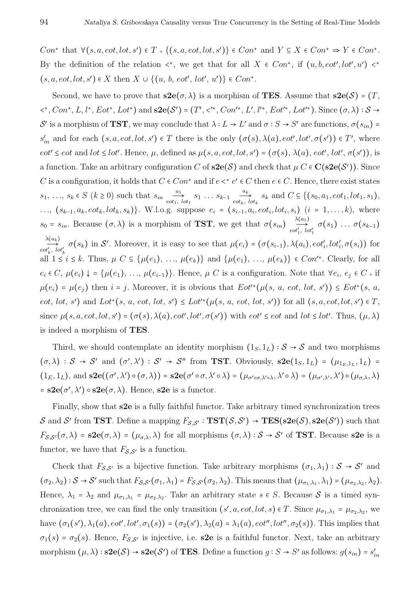*Con*<sup>∗</sup> that  $\forall (s, a, eot, lot, s') \in T \circ \{(s, a, eot, lot, s')\} \in Con^*$  and  $Y \subseteq X \in Con^* \Rightarrow Y \in Con^*$ . By the definition of the relation  $\langle *, \rangle$  we get that for all  $X \in Con^*,$  if  $(u, b, eot', lot', u') \langle * \rangle$  $(s, a, eot, lot, s') ∈ X$  then  $X ∪ \{(u, b, eot', lot', u')\} ∈ Con^*$ .

Second, we have to prove that  $s2e(\sigma, \lambda)$  is a morphism of **TES**. Assume that  $s2e(\mathcal{S}) = (T, \lambda)$ < ∗ , *Con*<sup>∗</sup> , *L*, *l* ∗ , *Eot*<sup>∗</sup> , *Lot*<sup>∗</sup>) and **s2e**(S ′) = (*T* ′ , < ′∗ , *Con*′∗ , *L*′ , *l* ′∗ , *Eot*′∗ , *Lot*′∗). Since (*σ, λ*) <sup>∶</sup> <sup>S</sup> <sup>→</sup> S' is a morphism of **TST**, we may conclude that  $\lambda: L \to L'$  and  $\sigma: S \to S'$  are functions,  $\sigma(s_{in})$  $s'_{in}$  and for each  $(s, a, eot, lot, s') \in T$  there is the only  $(\sigma(s), \lambda(a), eot', lot', \sigma(s')) \in T'$ , where  $eot' \leq eot$  and  $lot \leq lot'$ . Hence,  $\mu$ , defined as  $\mu(s, a, eot, lot, s') = (\sigma(s), \lambda(a), eot', lot', \sigma(s'))$ , is a function. Take an arbitrary configuration *C* of **s2e**( $S$ ) and check that  $\mu$  *C*  $\in$  **C**( $s$ **2e**( $S'$ )). Since *C* is a configuration, it holds that  $C \in Con^*$  and if  $e \le e' \in C$  then  $e \in C$ . Hence, there exist states *s*<sub>1</sub>, ..., *s*<sup>*k*</sup> ∈ *S* ( $k$  ≥ 0) such that *s*<sup>*in*</sup>  $\frac{a_1}{e^{bt_1}}$ .  $\overrightarrow{a_1}$   $s_1 \dots s_{k-1}$   $\overrightarrow{a_k}$ <br>*eot<sub>k</sub>*, *lot*<sub>1</sub>  $\underset{e \circ b_k, \, l \circ b_k}{\overset{a_k}{\longrightarrow}}$  *s<sub>k</sub>* and  $C \subseteq \{(s_0, a_1, e \circ b_1, l \circ b_1, s_1),$ ...,  $(s_{k-1}, a_k, \text{cot}_k, \text{lot}_k, s_k)$ . W.l.o.g. suppose  $e_i = (s_{i-1}, a_i, \text{cot}_i, \text{lot}_i, s_i)$   $(i = 1, ..., k)$ , where  $s_0 = s_{in}$ . Because  $(\sigma, \lambda)$  is a morphism of **TST**, we get that  $\sigma(s_{in}) \nrightarrow{ \lambda(a_1) \atop \sigma(a', b)}}$  $\overrightarrow{c}$   $\overrightarrow{c}$   $\overrightarrow{d}'$   $\overrightarrow{f}$   $\overrightarrow{d}(s_1)$   $\ldots$   $\sigma(s_{k-1})$ *λ*(*ak*)  $\overrightarrow{C}_{\text{tot}'_k}^{\text{(c.g.)}}$   $\sigma(s_k)$  in S'. Moreover, it is easy to see that  $\mu(e_i) = (\sigma(s_{i-1}), \lambda(a_i), \text{cot}'_i, \text{tot}'_i, \sigma(s_i))$  for all  $1 \le i \le k$ . Thus,  $\mu$  C ⊆ { $\mu(e_1)$ , ...,  $\mu(e_k)$ } and { $\mu(e_1)$ , ...,  $\mu(e_k)$ } ∈ Con'<sup>\*</sup>. Clearly, for all  $e_i \in C$ ,  $\mu(e_i) \downarrow \dots \mu(e_1), \dots, \mu(e_{i-1})\}$ . Hence,  $\mu$  *C* is a configuration. Note that  $\forall e_i, e_j \in C$  if  $\mu(e_i) = \mu(e_j)$  then  $i = j$ . Moreover, it is obvious that  $Eot'^*(\mu(s, a, \text{cot}, \text{lot}, s')) \le Eot^*(s, a,$  $eot, lot, s'$  and  $Lot^*(s, a, eot, lot, s') \leq Lot'^*(\mu(s, a, eot, lot, s'))$  for all  $(s, a, eot, lot, s') \in T$ , since  $\mu(s, a, eot, lot, s') = (\sigma(s), \lambda(a), eot', lot', \sigma(s'))$  with  $eot' \leq eot$  and  $lot \leq lot'$ . Thus,  $(\mu, \lambda)$ is indeed a morphism of **TES**.

Third, we should contemplate an identity morphism  $(1_S, 1_L) : S \rightarrow S$  and two morphisms  $(\sigma, \lambda) : \mathcal{S} \to \mathcal{S}'$  and  $(\sigma', \lambda') : \mathcal{S}' \to \mathcal{S}''$  from **TST**. Obviously,  $s2e(1_S, 1_L) = (\mu_{1_E, 1_L}, 1_L) =$  $(1_E, 1_L)$ , and  $\mathbf{ s2e}((\sigma', \lambda') \circ (\sigma, \lambda)) = \mathbf{s2e}(\sigma' \circ \sigma, \lambda' \circ \lambda) = (\mu_{\sigma' \circ \sigma, \lambda' \circ \lambda}, \lambda' \circ \lambda) = (\mu_{\sigma', \lambda'}, \lambda') \circ (\mu_{\sigma, \lambda}, \lambda)$  $=$ **s2e**( $\sigma'$ ,  $\lambda'$ )  $\circ$ **s2e**( $\sigma$ ,  $\lambda$ ). Hence, **s2e** is a functor.

Finally, show that **s2e** is a fully faithful functor. Take arbitrary timed synchronization trees S and S' from TST. Define a mapping  $F_{\mathcal{S},\mathcal{S}'} : TST(\mathcal{S},\mathcal{S}') \to TES(\mathbf{s2e}(\mathcal{S}), \mathbf{s2e}(\mathcal{S}'))$  such that  $F_{S,S'}(\sigma,\lambda) = s2e(\sigma,\lambda) = (\mu_{\sigma,\lambda},\lambda)$  for all morphisms  $(\sigma,\lambda): S \to S'$  of **TST**. Because **s2e** is a functor, we have that  $F_{\mathcal{S},\mathcal{S}'}$  is a function.

Check that  $F_{\mathcal{S},\mathcal{S}'}$  is a bijective function. Take arbitrary morphisms  $(\sigma_1,\lambda_1):\mathcal{S}\to\mathcal{S}'$  and  $(\sigma_2, \lambda_2): \mathcal{S} \to \mathcal{S}'$  such that  $F_{\mathcal{S},\mathcal{S}'}(\sigma_1,\lambda_1) = F_{\mathcal{S},\mathcal{S}'}(\sigma_2,\lambda_2)$ . This means that  $(\mu_{\sigma_1,\lambda_1},\lambda_1) = (\mu_{\sigma_2,\lambda_2},\lambda_2)$ . Hence,  $\lambda_1 = \lambda_2$  and  $\mu_{\sigma_1,\lambda_1} = \mu_{\sigma_2,\lambda_2}$ . Take an arbitrary state  $s \in S$ . Because S is a timed synchronization tree, we can find the only transition  $(s', a, \text{eot}, \text{lot}, s) \in T$ . Since  $\mu_{\sigma_1, \lambda_1} = \mu_{\sigma_2, \lambda_2}$ , we have  $(\sigma_1(s'), \lambda_1(a), \text{cot}', \text{tot}', \sigma_1(s)) = (\sigma_2(s'), \lambda_2(a) = \lambda_1(a), \text{cot}'', \text{tot}'', \sigma_2(s)).$  This implies that  $\sigma_1(s) = \sigma_2(s)$ . Hence,  $F_{\mathcal{S},\mathcal{S}'}$  is injective, i.e. **s2e** is a faithful functor. Next, take an arbitrary morphism  $(\mu, \lambda) : \mathbf{s2e}(\mathcal{S}) \to \mathbf{s2e}(\mathcal{S}')$  of **TES**. Define a function  $g : S \to S'$  as follows:  $g(s_{in}) = s'_{in}$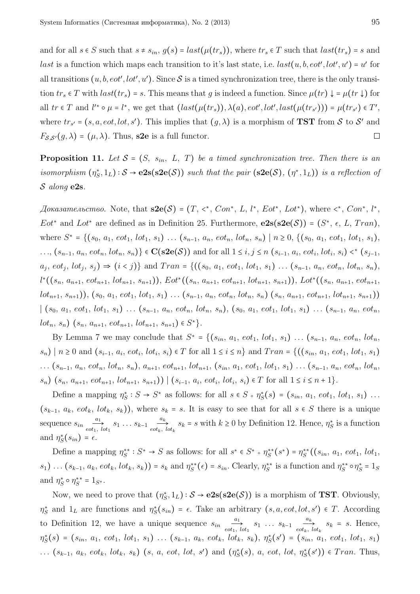and for all  $s \in S$  such that  $s \neq s_{in}$ ,  $g(s) = last(\mu(tr_s))$ , where  $tr_s \in T$  such that  $last(tr_s) = s$  and *last* is a function which maps each transition to it's last state, i.e.  $last(u, b, eot', lot', u') = u'$  for all transitions  $(u, b, eot', lot', u')$ . Since  $S$  is a timed synchronization tree, there is the only transition  $tr_s \in T$  with  $last(tr_s) = s$ . This means that *g* is indeed a function. Since  $\mu(tr) \downarrow = \mu(tr)$  for all  $tr \in T$  and  $l'^* \circ \mu = l^*$ , we get that  $(last(\mu(tr_s)), \lambda(a), \text{cot}', \text{lost}(\mu(tr_{s'}))) = \mu(tr_{s'}) \in T',$ where  $tr_{s'} = (s, a, \text{cot}, \text{lot}, s')$ . This implies that  $(g, \lambda)$  is a morphism of **TST** from S to S' and  $F_{\mathcal{S},\mathcal{S}'}(g,\lambda) = (\mu,\lambda)$ . Thus, **s2e** is a full functor.  $\Box$ 

**Proposition 11.** Let  $S = (S, s_{in}, L, T)$  be a timed synchronization tree. Then there is an *isomorphism*  $(\eta_S^*, 1_L) : S \to e^{2s}(\textbf{S2e}(S))$  *such that the pair*  $(\textbf{S2e}(S), (\eta^*, 1_L))$  *is a reflection of* S *along* **e2s***.*

*Доказательство.* Note, that **s2e**(S) = (*T*, < ∗ , *Con*<sup>∗</sup> , *L*, *l* ∗ , *Eot*<sup>∗</sup> , *Lot*<sup>∗</sup>), where < ∗ , *Con*<sup>∗</sup> , *l* ∗ , *Eot*<sup>\*</sup> and *Lot*<sup>\*</sup> are defined as in Definition 25. Furthermore,  $e2s(s2e(S)) = (S^*, \epsilon, L, Tran)$ , where  $S^* = \{(s_0, a_1, \text{eot}_1, \text{lot}_1, s_1) \dots (s_{n-1}, a_n, \text{eot}_n, \text{lot}_n, s_n) \mid n \geq 0, \{(s_0, a_1, \text{eot}_1, \text{lot}_1, s_1), \dots (s_{n-1}, a_n, \text{et}_n, \text{lot}_n, s_n) \mid n \geq 0, \{(s_0, a_1, \text{et}_1, \text{lot}_1, s_1), \dots (s_{n-1}, a_n, \text{et}_n, \text{lot}_n, s_n) \mid n \geq 0, \{(s_0, a_1$ ...,  $(s_{n-1}, a_n, \text{eot}_n, \text{lot}_n, s_n)$ } ∈  $\mathbf{C}(\mathbf{s2e}(\mathcal{S}))$  and for all  $1 \leq i, j \leq n$   $(s_{i-1}, a_i, \text{eot}_i, \text{lot}_i, s_i)$  <\*  $(s_{j-1}, a_j, \text{et}_i, s_i)$  $a_j, \, \text{cot}_j, \, \text{lot}_j, \, s_j) \Rightarrow (i \le j) \}$  and  $Tran = \{((s_0, a_1, \, \text{cot}_1, \, \text{lot}_1, \, s_1) \dots (s_{n-1}, \, a_n, \, \text{cot}_n, \, \text{lot}_n, \, s_n),\}$  $l^{*}((s_{n}, a_{n+1}, \text{ } \text{cot}_{n+1}, \text{ } \text{lot}_{n+1}, s_{n+1})), \text{ } \text{Eot}^{*}((s_{n}, a_{n+1}, \text{ } \text{cot}_{n+1}, \text{ } \text{lot}_{n+1}, s_{n+1})), \text{ } \text{Lot}^{*}((s_{n}, a_{n+1}, \text{ } \text{cot}_{n+1}, \text{ } \text{pot}_{n+1}, s_{n+1})),$  $(bt_{n+1}, s_{n+1}), (s_0, a_1, \text{eot}_1, \text{lot}_1, s_1) \ldots (s_{n-1}, a_n, \text{eot}_n, \text{lot}_n, s_n) (s_n, a_{n+1}, \text{eot}_{n+1}, \text{lot}_{n+1}, s_{n+1})$  $|(s_0, a_1, \text{eot}_1, \text{lot}_1, s_1) \dots (s_{n-1}, a_n, \text{eot}_n, \text{lot}_n, s_n), (s_0, a_1, \text{eot}_1, \text{lot}_1, s_1) \dots (s_{n-1}, a_n, \text{eot}_n,$  $lot_n, s_n)$   $(s_n, a_{n+1}, eot_{n+1}, lot_{n+1}, s_{n+1}) \in S^*$ .

By Lemma 7 we may conclude that  $S^* = \{(s_{in}, a_1, \text{ } \text{cot}_1, \text{ } \text{lot}_1, s_1) \dots (s_{n-1}, a_n, \text{ } \text{cot}_n, \text{ } \text{lot}_n, \}$  $(s_n) | n \ge 0$  and  $(s_{i-1}, a_i, \text{eot}_i, \text{lot}_i, s_i) \in T$  for all  $1 \le i \le n$  and  $Tran = \{((s_{in}, a_1, \text{eot}_1, \text{lot}_1, s_1)$  $\ldots (s_{n-1}, a_n, \omega t_n, \omega t_n, s_n), a_{n+1}, \omega t_{n+1}, \omega t_{n+1}, (s_{in}, a_1, \omega t_1, \omega t_1, s_1) \ldots (s_{n-1}, a_n, \omega t_n, \omega t_n)$  $(s_n)$   $(s_n, a_{n+1}, \text{cot}_{n+1}, \text{lot}_{n+1}, s_{n+1})$   $| (s_{i-1}, a_i, \text{cot}_i, \text{lot}_i, s_i) \in T$  for all  $1 \le i \le n+1$ .

Define a mapping  $\eta_S^* : S \to S^*$  as follows: for all  $s \in S \circ \eta_S^*(s) = (s_{in}, a_1, \text{cot}_1, \text{lot}_1, s_1) \dots$  $(s_{k-1}, a_k, \text{cot}_k, \text{lot}_k, s_k)$ , where  $s_k = s$ . It is easy to see that for all  $s \in S$  there is a unique sequence  $s_{in}$   $\frac{a_1}{a_2}$  $\overrightarrow{a_1}$   $s_1 \dots s_{k-1}$   $\overrightarrow{a_k}$ <br>*eot<sub>k</sub>*, *lot*<sub>1</sub>  $\frac{dE}{dt}$ ,  $s_k = s$  with  $k \ge 0$  by Definition 12. Hence,  $\eta_S^*$  is a function and  $\eta_S^*(s_{in}) = \epsilon$ .

Define a mapping  $\eta_S^{**}: S^* \to S$  as follows: for all  $s^* \in S^* \circ \eta_S^{**}(s^*) = \eta_S^{**}((s_{in}, a_1, \text{eot}_1, \text{lot}_1, \text{Cov}_2))$  $s_1$ ) ...  $(s_{k-1}, a_k, \text{eot}_k, \text{lot}_k, s_k)$  =  $s_k$  and  $\eta_S^{**}(\epsilon)$  =  $s_{in}$ . Clearly,  $\eta_S^{**}$  is a function and  $\eta_S^{**} \circ \eta_S^* = 1_S$ and  $\eta_S^* \circ \eta_S^{**} = 1_{S^*}.$ 

Now, we need to prove that  $(\eta_S^*, 1_L) : S \to e2s(s2e(S))$  is a morphism of **TST**. Obviously,  $\eta_S^*$  and  $1_L$  are functions and  $\eta_S^*(s_{in}) = \epsilon$ . Take an arbitrary  $(s, a, \text{cot}, \text{lot}, s') \in T$ . According to Definition 12, we have a unique sequence  $s_{in}$   $\frac{a_1}{a_2}$  $\overrightarrow{a_1}$   $s_1$   $\cdots$   $s_{k-1}$   $\overrightarrow{a_k}$ <br>*eot<sub>k</sub>*,  $\underset{eot_k, \, lot_k}{\longrightarrow}$   $s_k = s$ . Hence, *η* ∗ *S* (*s*) = (*sin*, *a*1, *eot*1, *lot*1, *s*1) *. . .* (*s<sup>k</sup>*−<sup>1</sup>, *ak*, *eotk*, *lotk*, *sk*), *η* ∗ *S* (*s* ′) = (*sin*, *a*1, *eot*1, *lot*1, *s*1)  $\ldots$   $(s_{k-1}, a_k, \text{ } \text{cot}_k, \text{ } \text{lot}_k, s_k)$   $(s, a, \text{ } \text{cot}, \text{ } \text{lot}, \text{ } s')$  and  $(\eta_S^*(s), a, \text{ } \text{cot}, \text{ } \text{lot}, \text{ } \eta_S^*(s')) \in \text{Tr} \text{an}.$  Thus,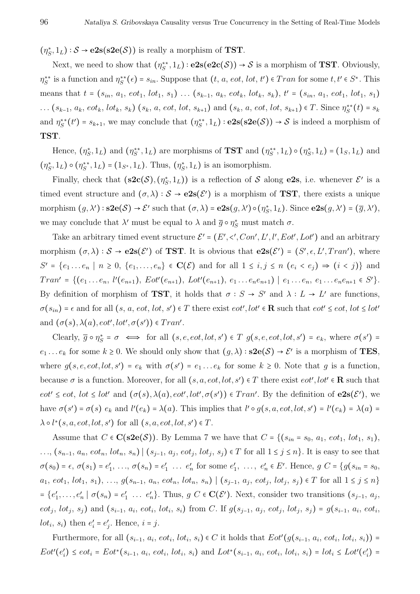$(\eta_S^*, 1_L) : \mathcal{S} \to e2s(s2e(\mathcal{S}))$  is really a morphism of **TST**.

Next, we need to show that  $(\eta_S^{**}, 1_L) : e2s(e2c(S)) \to S$  is a morphism of **TST**. Obviously,  $\eta_S^{**}$  is a function and  $\eta_S^{**}(\epsilon) = s_{in}$ . Suppose that  $(t, a, eot, lot, t') \in Tran$  for some  $t, t' \in S^*$ . This means that  $t = (s_{in}, a_1, \text{ } \text{cot}_1, \text{ } \text{lot}_1, s_1) \dots (s_{k-1}, a_k, \text{ } \text{cot}_k, \text{ } \text{lot}_k, s_k), t' = (s_{in}, a_1, \text{ } \text{cot}_1, \text{ } \text{lot}_1, s_1)$  $\dots (s_{k-1}, a_k, \text{cot}_k, \text{lot}_k, s_k)$   $(s_k, a, \text{cot}, \text{lot}, s_{k+1})$  and  $(s_k, a, \text{cot}, \text{lot}, s_{k+1}) \in T$ . Since  $\eta_S^{**}(t) = s_k$ and  $\eta_S^{**}(t') = s_{k+1}$ , we may conclude that  $(\eta_S^{**}, 1_L) : e2s(s2e(S)) \to S$  is indeed a morphism of **TST**.

Hence,  $(\eta_S^*, 1_L)$  and  $(\eta_S^{**}, 1_L)$  are morphisms of **TST** and  $(\eta_S^{**}, 1_L) \circ (\eta_S^*, 1_L) = (1_S, 1_L)$  and  $(\eta_S^*, 1_L) \circ (\eta_S^{**}, 1_L) = (1_{S^*}, 1_L)$ . Thus,  $(\eta_S^*, 1_L)$  is an isomorphism.

Finally, check that  $({\bf s2c}(\mathcal{S}), (\eta_{\mathcal{S}}^*, 1_L))$  is a reflection of S along **e2s**, i.e. whenever  $\mathcal{E}'$  is a timed event structure and  $(\sigma, \lambda) : S \to e2s(\mathcal{E}')$  is a morphism of **TST**, there exists a unique morphism  $(g, \lambda') : \mathbf{S2e}(\mathcal{S}) \to \mathcal{E}'$  such that  $(\sigma, \lambda) = \mathbf{e2s}(g, \lambda') \circ (\eta_S^*, 1_L)$ . Since  $\mathbf{e2s}(g, \lambda') = (\overline{g}, \lambda'),$ we may conclude that  $\lambda'$  must be equal to  $\lambda$  and  $\overline{g} \circ \eta_S^*$  must match  $\sigma$ .

Take an arbitrary timed event structure  $\mathcal{E}' = (E', \langle', Con', L', l', Eot', Lot')$  and an arbitrary morphism  $(\sigma, \lambda) : \mathcal{S} \to e2s(\mathcal{E}')$  of **TST**. It is obvious that  $e2s(\mathcal{E}') = (S', \epsilon, L', Tran')$ , where *S*<sup>*r*</sup> = { $e_1 \, \ldots \, e_n \mid n \ge 0$ , { $e_1, \ldots, e_n$ } ∈ **C**(*E*) and for all  $1 \le i, j \le n$  ( $e_i < e_j$ ) ⇒ ( $i < j$ )} and  $Tran' = \{ (e_1 \ldots e_n, l'(e_{n+1}), Eot'(e_{n+1}), Lot'(e_{n+1}), e_1 \ldots e_ne_{n+1}) | e_1 \ldots e_n, e_1 \ldots e_ne_{n+1} \in S' \}.$ By definition of morphism of **TST**, it holds that  $\sigma : S \to S'$  and  $\lambda : L \to L'$  are functions,  $\sigma(s_{in}) = \epsilon$  and for all  $(s, a, \text{cot}, \text{lot}, s') \in T$  there exist  $\text{cot}', \text{lot}' \in \mathbb{R}$  such that  $\text{cot}' \leq \text{cot}, \text{lot} \leq \text{lot}'$ and  $(\sigma(s), \lambda(a), \text{eot}', \text{lot}', \sigma(s')) \in Tran'.$ 

Clearly,  $\overline{g} \circ \eta_S^* = \sigma \iff \text{for all } (s, e, eot, lot, s') \in T$   $g(s, e, eot, lot, s') = e_k$ , where  $\sigma(s') =$ *e*<sub>1</sub> . . . *e*<sub>k</sub> for some  $k \ge 0$ . We should only show that  $(g, \lambda) : s2e(\mathcal{S}) \to \mathcal{E}'$  is a morphism of **TES**, where  $g(s, e, \text{cot}, \text{lot}, s') = e_k$  with  $\sigma(s') = e_1 \dots e_k$  for some  $k \geq 0$ . Note that  $g$  is a function, because  $\sigma$  is a function. Moreover, for all  $(s, a, eot, lot, s') \in T$  there exist  $eot', lot' \in \mathbf{R}$  such that  $eot' \leq eot$ ,  $lot \leq lot'$  and  $(\sigma(s), \lambda(a), eot', lot', \sigma(s')) \in Tran'$ . By the definition of  $e2s(\mathcal{E}')$ , we have  $\sigma(s') = \sigma(s) e_k$  and  $l'(e_k) = \lambda(a)$ . This implies that  $l' \circ g(s, a, \text{cot}, \text{lot}, s') = l'(e_k) = \lambda(a) =$  $\lambda \circ l^*(s, a, eot, lot, s')$  for all  $(s, a, eot, lot, s') \in T$ .

Assume that  $C \in \mathbf{C}(\mathbf{s2e}(\mathcal{S}))$ . By Lemma 7 we have that  $C = \{ (s_{in} = s_0, a_1, \text{eot}_1, \text{lot}_1, s_1),$  $\dots, (s_{n-1}, a_n, \text{cot}_n, \text{lot}_n, s_n) \mid (s_{j-1}, a_j, \text{cot}_j, \text{lot}_j, s_j) \in T \text{ for all } 1 \leq j \leq n\}.$  It is easy to see that  $\sigma(s_0) = \epsilon, \ \sigma(s_1) = e'_1, \ \ldots, \ \sigma(s_n) = e'_1 \ \ldots \ e'_n$  for some  $e'_1, \ \ldots, \ e'_n \in E'$ . Hence,  $g \ C = \{g(s_{in} = s_0, \ldots, s_n) \in E' \}$  $a_1, eot_1, lot_1, s_1), \ldots, g(s_{n-1}, a_n, eot_n, lot_n, s_n) \mid (s_{j-1}, a_j, eot_j, lot_j, s_j) \in T$  for all  $1 \leq j \leq n$  $= \{e'_1, \ldots, e'_n \mid \sigma(s_n) = e'_1 \ldots e'_n\}.$  Thus,  $g \in \mathbf{C}(\mathcal{E}')$ . Next, consider two transitions  $(s_{j-1}, a_j, \ldots, a_n)$  $eot_j$ ,  $lot_j$ ,  $s_j$ ) and  $(s_{i-1}, a_i, eot_i, lot_i, s_i)$  from C. If  $g(s_{j-1}, a_j, eot_j, lot_j, s_j) = g(s_{i-1}, a_i, eot_i, s_j)$ *lot<sub>i</sub>*,  $s_i$ ) then  $e'_i = e'_j$ . Hence,  $i = j$ .

Furthermore, for all  $(s_{i-1}, a_i, \text{eot}_i, \text{lot}_i, s_i) \in C$  it holds that  $Eot'(g(s_{i-1}, a_i, \text{eot}_i, \text{lot}_i, s_i))$  =  $Eot'(e'_i) \leq eot_i = Eot^*(s_{i-1}, a_i, eot_i, lot_i, s_i)$  and  $Lot^*(s_{i-1}, a_i, eot_i, lot_i, s_i) = lot_i \leq Lot'(e'_i)$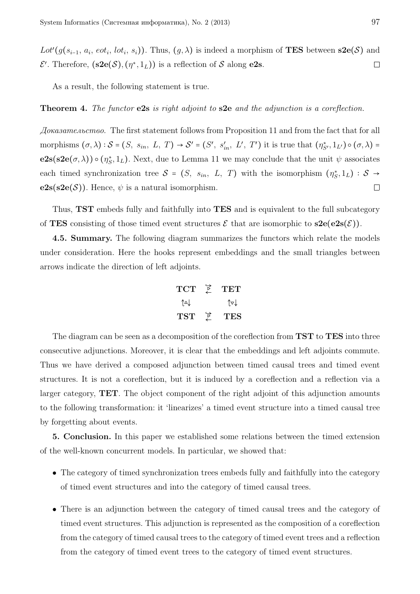Lot<sup>'</sup>( $g(s_{i-1}, a_i, \text{eot}_i, \text{lot}_i, s_i)$ ). Thus,  $(g, \lambda)$  is indeed a morphism of **TES** between **s2e**( $S$ ) and  $\mathcal{E}'$ . Therefore,  $(\mathbf{s2e}(\mathcal{S}), (\eta^*, 1_L))$  is a reflection of  $\mathcal{S}$  along **e2s**.  $\Box$ 

As a result, the following statement is true.

#### **Theorem 4.** *The functor* **e2s** *is right adjoint to* **s2e** *and the adjunction is a coreflection.*

*Доказательство.* The first statement follows from Proposition 11 and from the fact that for all morphisms  $(\sigma, \lambda)$ :  $S = (S, s_{in}, L, T) \rightarrow S' = (S', s'_{in}, L', T')$  it is true that  $(\eta_{S'}^*, 1_{L'}) \circ (\sigma, \lambda) =$ **e2s**(**s2e**( $\sigma$ ,  $\lambda$ ))  $\circ$  ( $\eta_s^*$ , 1<sub>L</sub>). Next, due to Lemma 11 we may conclude that the unit  $\psi$  associates each timed synchronization tree  $S = (S, s_{in}, L, T)$  with the isomorphism  $(\eta_S^*, 1_L) : S \to$  $e2s(s2e(\mathcal{S}))$ . Hence,  $\psi$  is a natural isomorphism.  $\Box$ 

Thus, **TST** embeds fully and faithfully into **TES** and is equivalent to the full subcategory of **TES** consisting of those timed event structures  $\mathcal{E}$  that are isomorphic to  $s2e(e2s(\mathcal{E}))$ .

**4.5. Summary.** The following diagram summarizes the functors which relate the models under consideration. Here the hooks represent embeddings and the small triangles between arrows indicate the direction of left adjoints.

$$
\begin{array}{ccc}\nTCT & \stackrel{\rightarrow}{\neq} & TET \\
\uparrow \downarrow & & \uparrow \triangledown \downarrow \\
TST & \stackrel{\rightarrow}{\neq} & TES\n\end{array}
$$

The diagram can be seen as a decomposition of the coreflection from **TST** to **TES** into three consecutive adjunctions. Moreover, it is clear that the embeddings and left adjoints commute. Thus we have derived a composed adjunction between timed causal trees and timed event structures. It is not a coreflection, but it is induced by a coreflection and a reflection via a larger category, **TET**. The object component of the right adjoint of this adjunction amounts to the following transformation: it 'linearizes' a timed event structure into a timed causal tree by forgetting about events.

**5. Conclusion.** In this paper we established some relations between the timed extension of the well-known concurrent models. In particular, we showed that:

- The category of timed synchronization trees embeds fully and faithfully into the category of timed event structures and into the category of timed causal trees.
- There is an adjunction between the category of timed causal trees and the category of timed event structures. This adjunction is represented as the composition of a coreflection from the category of timed causal trees to the category of timed event trees and a reflection from the category of timed event trees to the category of timed event structures.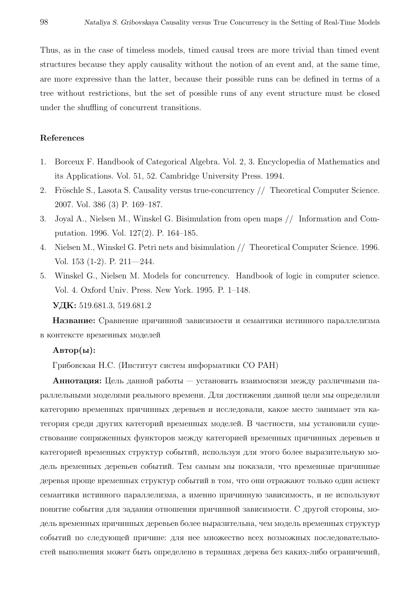Thus, as in the case of timeless models, timed causal trees are more trivial than timed event structures because they apply causality without the notion of an event and, at the same time, are more expressive than the latter, because their possible runs can be defined in terms of a tree without restrictions, but the set of possible runs of any event structure must be closed under the shuffling of concurrent transitions.

# **References**

- 1. Borceux F. Handbook of Categorical Algebra. Vol. 2, 3. Encyclopedia of Mathematics and its Applications. Vol. 51, 52. Cambridge University Press. 1994.
- 2. Fröschle S., Lasota S. Causality versus true-concurrency // Theoretical Computer Science. 2007. Vol. 386 (3) P. 169–187.
- 3. Joyal A., Nielsen M., Winskel G. Bisimulation from open maps // Information and Computation. 1996. Vol. 127(2). P. 164–185.
- 4. Nielsen M., Winskel G. Petri nets and bisimulation // Theoretical Computer Science. 1996. Vol. 153 (1-2). P. 211—244.
- 5. Winskel G., Nielsen M. Models for concurrency. Handbook of logic in computer science. Vol. 4. Oxford Univ. Press. New York. 1995. P. 1–148. УДК: 519.681.3, 519.681.2

Название: Сравнение причинной зависимости и семантики истинного параллелизма в контексте временных моделей

# $\text{A}\text{B}$ тор $(\text{bl})$ :

Грибовская Н.С. (Институт систем информатики СО РАН)

Аннотация: Цель данной работы — установить взаимосвязи между различными параллельными моделями реального времени. Для достижения данной цели мы определили категорию временных причинных деревьев и исследовали, какое место занимает эта категория среди других категорий временных моделей. В частности, мы установили существование сопряженных функторов между категорией временных причинных деревьев и категорией временных структур событий, используя для этого более выразительную модель временных деревьев событий. Тем самым мы показали, что временные причинные деревья проще временных структур событий в том, что они отражают только один аспект семантики истинного параллелизма, а именно причинную зависимость, и не используют понятие события для задания отношения причинной зависимости. С другой стороны, модель временных причинных деревьев более выразительна, чем модель временных структур событий по следующей причине: для нее множество всех возможных последовательностей выполнения может быть определено в терминах дерева без каких-либо ограничений,